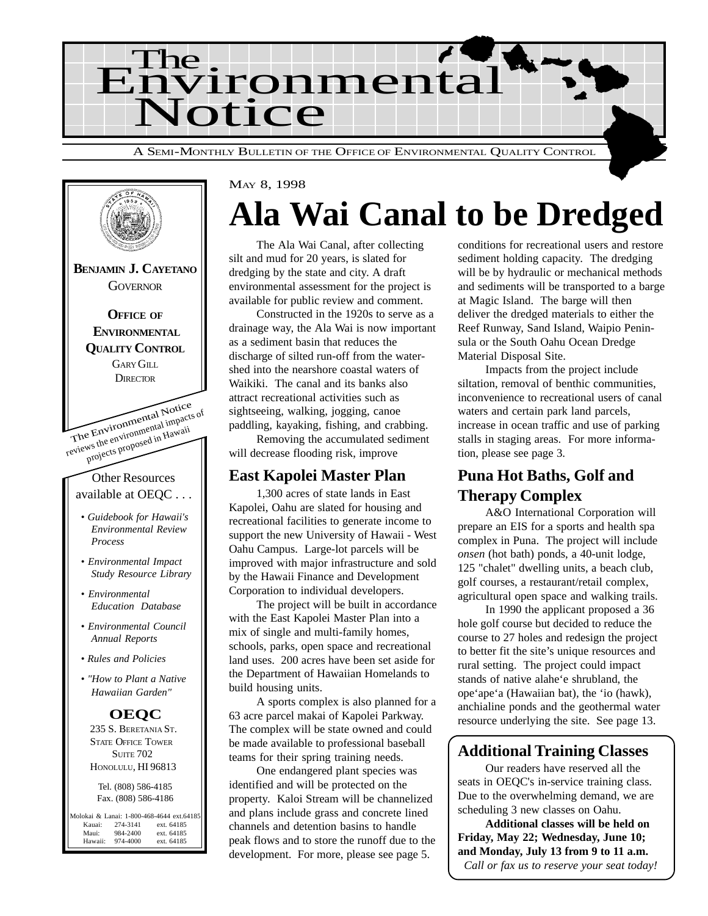



## MAY 8, 1998 **Ala Wai Canal to be Dredged**

The Ala Wai Canal, after collecting silt and mud for 20 years, is slated for dredging by the state and city. A draft environmental assessment for the project is available for public review and comment.

Constructed in the 1920s to serve as a drainage way, the Ala Wai is now important as a sediment basin that reduces the discharge of silted run-off from the watershed into the nearshore coastal waters of Waikiki. The canal and its banks also attract recreational activities such as sightseeing, walking, jogging, canoe paddling, kayaking, fishing, and crabbing.

Removing the accumulated sediment will decrease flooding risk, improve

### **East Kapolei Master Plan**

1,300 acres of state lands in East Kapolei, Oahu are slated for housing and recreational facilities to generate income to support the new University of Hawaii - West Oahu Campus. Large-lot parcels will be improved with major infrastructure and sold by the Hawaii Finance and Development Corporation to individual developers.

The project will be built in accordance with the East Kapolei Master Plan into a mix of single and multi-family homes, schools, parks, open space and recreational land uses. 200 acres have been set aside for the Department of Hawaiian Homelands to build housing units.

A sports complex is also planned for a 63 acre parcel makai of Kapolei Parkway. The complex will be state owned and could be made available to professional baseball teams for their spring training needs.

One endangered plant species was identified and will be protected on the property. Kaloi Stream will be channelized and plans include grass and concrete lined channels and detention basins to handle peak flows and to store the runoff due to the development. For more, please see page 5.

conditions for recreational users and restore sediment holding capacity. The dredging will be by hydraulic or mechanical methods and sediments will be transported to a barge at Magic Island. The barge will then deliver the dredged materials to either the Reef Runway, Sand Island, Waipio Peninsula or the South Oahu Ocean Dredge Material Disposal Site.

Impacts from the project include siltation, removal of benthic communities, inconvenience to recreational users of canal waters and certain park land parcels, increase in ocean traffic and use of parking stalls in staging areas. For more information, please see page 3.

### **Puna Hot Baths, Golf and Therapy Complex**

A&O International Corporation will prepare an EIS for a sports and health spa complex in Puna. The project will include *onsen* (hot bath) ponds, a 40-unit lodge, 125 "chalet" dwelling units, a beach club, golf courses, a restaurant/retail complex, agricultural open space and walking trails.

In 1990 the applicant proposed a 36 hole golf course but decided to reduce the course to 27 holes and redesign the project to better fit the site's unique resources and rural setting. The project could impact stands of native alahe'e shrubland, the ope'ape'a (Hawaiian bat), the 'io (hawk), anchialine ponds and the geothermal water resource underlying the site. See page 13.

### **Additional Training Classes**

Our readers have reserved all the seats in OEQC's in-service training class. Due to the overwhelming demand, we are scheduling 3 new classes on Oahu.

**Additional classes will be held on Friday, May 22; Wednesday, June 10; and Monday, July 13 from 9 to 11 a.m.** *Call or fax us to reserve your seat today!*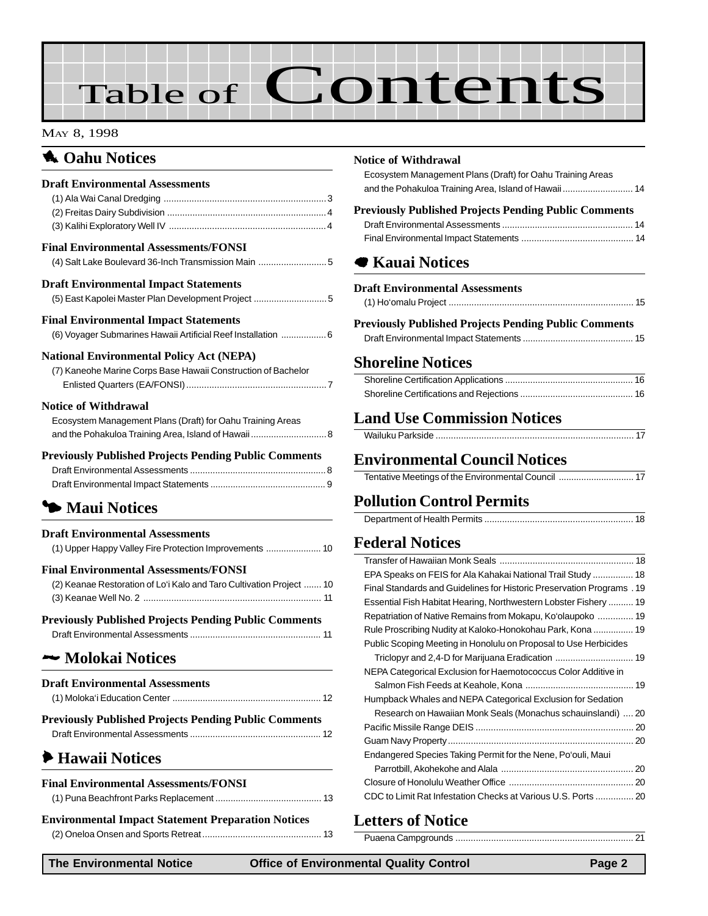# Table of Contents

#### MAY 8, 1998

### **1** Oahu Notices

| <b>Draft Environmental Assessments</b>                                                                                                            |  |
|---------------------------------------------------------------------------------------------------------------------------------------------------|--|
| <b>Final Environmental Assessments/FONSI</b><br>(4) Salt Lake Boulevard 36-Inch Transmission Main 5                                               |  |
| <b>Draft Environmental Impact Statements</b><br>(5) East Kapolei Master Plan Development Project 5                                                |  |
| <b>Final Environmental Impact Statements</b><br>(6) Voyager Submarines Hawaii Artificial Reef Installation  6                                     |  |
| <b>National Environmental Policy Act (NEPA)</b><br>(7) Kaneohe Marine Corps Base Hawaii Construction of Bachelor                                  |  |
| <b>Notice of Withdrawal</b><br>Ecosystem Management Plans (Draft) for Oahu Training Areas<br>and the Pohakuloa Training Area, Island of Hawaii  8 |  |
| <b>Previously Published Projects Pending Public Comments</b>                                                                                      |  |
| Maui Notices                                                                                                                                      |  |

### 3 **[Maui Notices](#page-9-0)**

| <b>Draft Environmental Assessments</b> |  |
|----------------------------------------|--|
|                                        |  |

### **Final Environmental Assessments/FONSI**

| (2) Keanae Restoration of Lo'i Kalo and Taro Cultivation Project  10 |  |
|----------------------------------------------------------------------|--|
|                                                                      |  |

| <b>Previously Published Projects Pending Public Comments</b> |  |
|--------------------------------------------------------------|--|
|                                                              |  |

### 2 **[Molokai Notices](#page-11-0)**

| ◆ Hawaii Notices                                             |
|--------------------------------------------------------------|
| <b>Previously Published Projects Pending Public Comments</b> |
| <b>Draft Environmental Assessments</b>                       |

|  | <b>Final Environmental Assessments/FONSI</b> |  |  |  |
|--|----------------------------------------------|--|--|--|
|  |                                              |  |  |  |
|  | $\mathbf{r}$ . The set of $\mathbf{r}$       |  |  |  |

**Environmental Impact Statement Preparation Notices** [\(2\) Oneloa Onsen and Sports Retreat............................................... 13](#page-12-0)

#### **Notice of Withdrawal**

[Ecosystem Management Plans \(Draft\) for Oahu Training Areas](#page-13-0) and the Pohakuloa Training Area, Island of Hawaii............................ 14

#### **Previously Published Projects Pending Public Comments**

### 7 **[Kauai Notices](#page-14-0)**

#### **Draft Environmental Assessments**

|--|

### **Previously Published Projects Pending Public Comments**

### **Shoreline Notices**

### **Land Use Commission Notices**

### **Environmental Council Notices**

|--|

### **Pollution Control Permits**

|--|

### **[Federal Notices](#page-17-0)**

| EPA Speaks on FEIS for Ala Kahakai National Trail Study  18            |
|------------------------------------------------------------------------|
| Final Standards and Guidelines for Historic Preservation Programs . 19 |
| Essential Fish Habitat Hearing, Northwestern Lobster Fishery  19       |
| Repatriation of Native Remains from Mokapu, Ko'olaupoko  19            |
| Rule Proscribing Nudity at Kaloko-Honokohau Park, Kona  19             |
| Public Scoping Meeting in Honolulu on Proposal to Use Herbicides       |
| Triclopyr and 2,4-D for Marijuana Eradication  19                      |
| NEPA Categorical Exclusion for Haemotococcus Color Additive in         |
|                                                                        |
| Humpback Whales and NEPA Categorical Exclusion for Sedation            |
| Research on Hawaiian Monk Seals (Monachus schauinslandi)  20           |
|                                                                        |
| 20                                                                     |
| Endangered Species Taking Permit for the Nene, Po'ouli, Maui           |
|                                                                        |
|                                                                        |
| CDC to Limit Rat Infestation Checks at Various U.S. Ports  20          |

### **[Letters of Notice](#page-20-0)**

|--|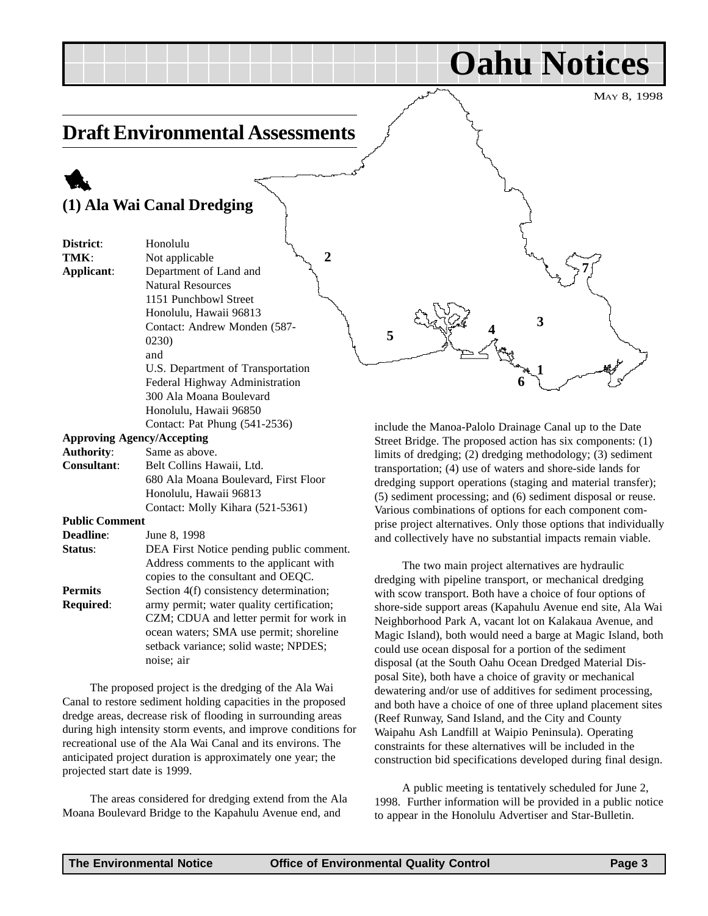#### MAY 8, 1998

**Oahu Notices**

### <span id="page-2-0"></span>**Draft Environmental Assessments**

**2**

### 1 **(1) Ala Wai Canal Dredging**

**District**: Honolulu **TMK**: Not applicable **Applicant**: Department of Land and Natural Resources 1151 Punchbowl Street Honolulu, Hawaii 96813 Contact: Andrew Monden (587- 0230) and U.S. Department of Transportation Federal Highway Administration 300 Ala Moana Boulevard Honolulu, Hawaii 96850 Contact: Pat Phung (541-2536) **Approving Agency/Accepting Authority**: Same as above.

| <b>Consultant:</b> | Belt Collins Hawaii, Ltd.            |
|--------------------|--------------------------------------|
|                    | 680 Ala Moana Boulevard. First Floor |
|                    | Honolulu, Hawaii 96813               |
|                    | Contact: Molly Kihara (521-5361)     |

**Public Comment**

| <b>Deadline:</b> | June 8, 1998                              |
|------------------|-------------------------------------------|
| Status:          | DEA First Notice pending public comment.  |
|                  | Address comments to the applicant with    |
|                  | copies to the consultant and OEQC.        |
| <b>Permits</b>   | Section 4(f) consistency determination;   |
| <b>Required:</b> | army permit; water quality certification; |
|                  | CZM; CDUA and letter permit for work in   |
|                  | ocean waters; SMA use permit; shoreline   |
|                  | setback variance; solid waste; NPDES;     |
|                  | noise; air                                |

The proposed project is the dredging of the Ala Wai Canal to restore sediment holding capacities in the proposed dredge areas, decrease risk of flooding in surrounding areas during high intensity storm events, and improve conditions for recreational use of the Ala Wai Canal and its environs. The anticipated project duration is approximately one year; the projected start date is 1999.

The areas considered for dredging extend from the Ala Moana Boulevard Bridge to the Kapahulu Avenue end, and

**1**  $\frac{4}{3}$  **5 1 1 3 6 7**

> include the Manoa-Palolo Drainage Canal up to the Date Street Bridge. The proposed action has six components: (1) limits of dredging; (2) dredging methodology; (3) sediment transportation; (4) use of waters and shore-side lands for dredging support operations (staging and material transfer); (5) sediment processing; and (6) sediment disposal or reuse. Various combinations of options for each component comprise project alternatives. Only those options that individually and collectively have no substantial impacts remain viable.

> The two main project alternatives are hydraulic dredging with pipeline transport, or mechanical dredging with scow transport. Both have a choice of four options of shore-side support areas (Kapahulu Avenue end site, Ala Wai Neighborhood Park A, vacant lot on Kalakaua Avenue, and Magic Island), both would need a barge at Magic Island, both could use ocean disposal for a portion of the sediment disposal (at the South Oahu Ocean Dredged Material Disposal Site), both have a choice of gravity or mechanical dewatering and/or use of additives for sediment processing, and both have a choice of one of three upland placement sites (Reef Runway, Sand Island, and the City and County Waipahu Ash Landfill at Waipio Peninsula). Operating constraints for these alternatives will be included in the construction bid specifications developed during final design.

> A public meeting is tentatively scheduled for June 2, 1998. Further information will be provided in a public notice to appear in the Honolulu Advertiser and Star-Bulletin.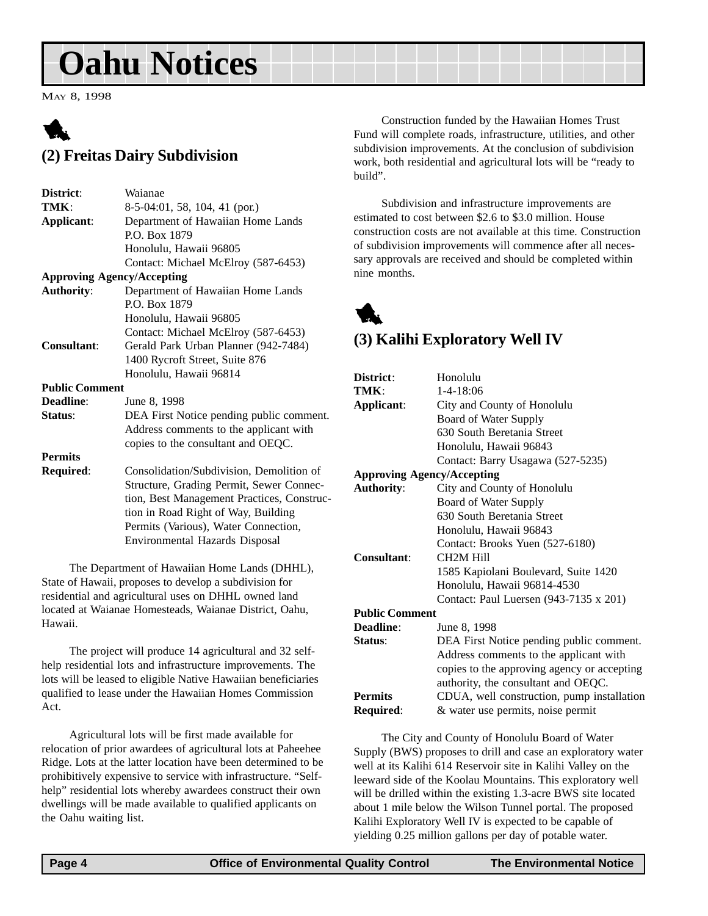## <span id="page-3-0"></span>**Oahu Notices**

MAY 8, 1998



### **(2) Freitas Dairy Subdivision**

| District:                         | Waianae                                    |
|-----------------------------------|--------------------------------------------|
| TMK:                              | 8-5-04:01, 58, 104, 41 (por.)              |
| Applicant:                        | Department of Hawaiian Home Lands          |
|                                   | P.O. Box 1879                              |
|                                   | Honolulu, Hawaii 96805                     |
|                                   | Contact: Michael McElroy (587-6453)        |
| <b>Approving Agency/Accepting</b> |                                            |
| <b>Authority:</b>                 | Department of Hawaiian Home Lands          |
|                                   | P.O. Box 1879                              |
|                                   | Honolulu, Hawaii 96805                     |
|                                   | Contact: Michael McElroy (587-6453)        |
| Consultant:                       | Gerald Park Urban Planner (942-7484)       |
|                                   | 1400 Rycroft Street, Suite 876             |
|                                   | Honolulu, Hawaii 96814                     |
| <b>Public Comment</b>             |                                            |
| Deadline:                         | June 8, 1998                               |
| Status:                           | DEA First Notice pending public comment.   |
|                                   | Address comments to the applicant with     |
|                                   | copies to the consultant and OEQC.         |
| <b>Permits</b>                    |                                            |
| Required:                         | Consolidation/Subdivision, Demolition of   |
|                                   | Structure, Grading Permit, Sewer Connec-   |
|                                   | tion, Best Management Practices, Construc- |
|                                   | tion in Road Right of Way, Building        |
|                                   | Permits (Various), Water Connection,       |
|                                   | Environmental Hazards Disposal             |
|                                   |                                            |

The Department of Hawaiian Home Lands (DHHL), State of Hawaii, proposes to develop a subdivision for residential and agricultural uses on DHHL owned land located at Waianae Homesteads, Waianae District, Oahu, Hawaii.

The project will produce 14 agricultural and 32 selfhelp residential lots and infrastructure improvements. The lots will be leased to eligible Native Hawaiian beneficiaries qualified to lease under the Hawaiian Homes Commission Act.

Agricultural lots will be first made available for relocation of prior awardees of agricultural lots at Paheehee Ridge. Lots at the latter location have been determined to be prohibitively expensive to service with infrastructure. "Selfhelp" residential lots whereby awardees construct their own dwellings will be made available to qualified applicants on the Oahu waiting list.

Construction funded by the Hawaiian Homes Trust Fund will complete roads, infrastructure, utilities, and other subdivision improvements. At the conclusion of subdivision work, both residential and agricultural lots will be "ready to build".

Subdivision and infrastructure improvements are estimated to cost between \$2.6 to \$3.0 million. House construction costs are not available at this time. Construction of subdivision improvements will commence after all necessary approvals are received and should be completed within nine months.

### 1 **(3) Kalihi Exploratory Well IV**

| District:                         | Honolulu                                    |  |
|-----------------------------------|---------------------------------------------|--|
| TMK:                              | $1 - 4 - 18:06$                             |  |
|                                   |                                             |  |
| Applicant:                        | City and County of Honolulu                 |  |
|                                   | Board of Water Supply                       |  |
|                                   | 630 South Beretania Street                  |  |
|                                   | Honolulu, Hawaii 96843                      |  |
|                                   | Contact: Barry Usagawa (527-5235)           |  |
| <b>Approving Agency/Accepting</b> |                                             |  |
| <b>Authority:</b>                 | City and County of Honolulu                 |  |
|                                   | Board of Water Supply                       |  |
|                                   | 630 South Beretania Street                  |  |
|                                   | Honolulu, Hawaii 96843                      |  |
|                                   | Contact: Brooks Yuen (527-6180)             |  |
| Consultant:                       | <b>CH2M Hill</b>                            |  |
|                                   | 1585 Kapiolani Boulevard, Suite 1420        |  |
|                                   | Honolulu, Hawaii 96814-4530                 |  |
|                                   | Contact: Paul Luersen (943-7135 x 201)      |  |
| <b>Public Comment</b>             |                                             |  |
| Deadline:                         | June 8, 1998                                |  |
| Status:                           | DEA First Notice pending public comment.    |  |
|                                   | Address comments to the applicant with      |  |
|                                   | copies to the approving agency or accepting |  |
|                                   | authority, the consultant and OEQC.         |  |
| <b>Permits</b>                    | CDUA, well construction, pump installation  |  |
|                                   |                                             |  |
| Required:                         | & water use permits, noise permit           |  |

The City and County of Honolulu Board of Water Supply (BWS) proposes to drill and case an exploratory water well at its Kalihi 614 Reservoir site in Kalihi Valley on the leeward side of the Koolau Mountains. This exploratory well will be drilled within the existing 1.3-acre BWS site located about 1 mile below the Wilson Tunnel portal. The proposed Kalihi Exploratory Well IV is expected to be capable of yielding 0.25 million gallons per day of potable water.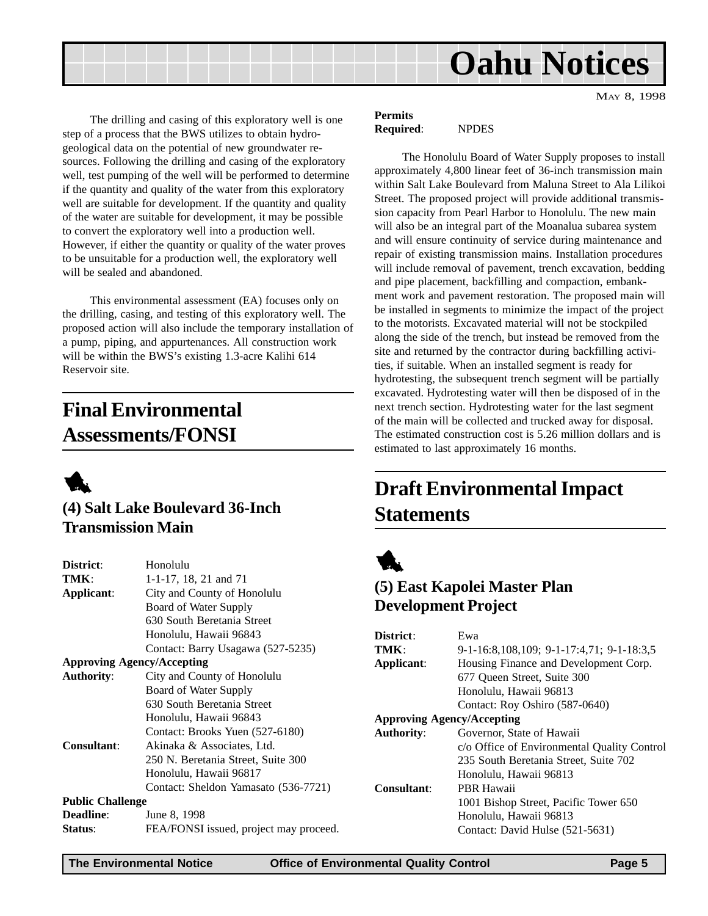<span id="page-4-0"></span>

MAY 8, 1998

The drilling and casing of this exploratory well is one step of a process that the BWS utilizes to obtain hydrogeological data on the potential of new groundwater resources. Following the drilling and casing of the exploratory well, test pumping of the well will be performed to determine if the quantity and quality of the water from this exploratory well are suitable for development. If the quantity and quality of the water are suitable for development, it may be possible to convert the exploratory well into a production well. However, if either the quantity or quality of the water proves to be unsuitable for a production well, the exploratory well will be sealed and abandoned.

This environmental assessment (EA) focuses only on the drilling, casing, and testing of this exploratory well. The proposed action will also include the temporary installation of a pump, piping, and appurtenances. All construction work will be within the BWS's existing 1.3-acre Kalihi 614 Reservoir site.

### **Final Environmental Assessments/FONSI**



### **(4) Salt Lake Boulevard 36-Inch Transmission Main**

| District:               | Honolulu                               |   |
|-------------------------|----------------------------------------|---|
| TMK:                    | $1-1-17$ , 18, 21 and 71               |   |
| Applicant:              | City and County of Honolulu            |   |
|                         | Board of Water Supply                  |   |
|                         | 630 South Beretania Street             |   |
|                         | Honolulu, Hawaii 96843                 | D |
|                         | Contact: Barry Usagawa (527-5235)      | Т |
|                         | <b>Approving Agency/Accepting</b>      | A |
| <b>Authority:</b>       | City and County of Honolulu            |   |
|                         | Board of Water Supply                  |   |
|                         | 630 South Beretania Street             |   |
|                         | Honolulu, Hawaii 96843                 | A |
|                         | Contact: Brooks Yuen (527-6180)        | A |
| <b>Consultant:</b>      | Akinaka & Associates, Ltd.             |   |
|                         | 250 N. Beretania Street, Suite 300     |   |
|                         | Honolulu, Hawaii 96817                 |   |
|                         | Contact: Sheldon Yamasato (536-7721)   |   |
| <b>Public Challenge</b> |                                        |   |
| Deadline:               | June 8, 1998                           |   |
| Status:                 | FEA/FONSI issued, project may proceed. |   |

#### **Permits Required**: NPDES

The Honolulu Board of Water Supply proposes to install approximately 4,800 linear feet of 36-inch transmission main within Salt Lake Boulevard from Maluna Street to Ala Lilikoi Street. The proposed project will provide additional transmission capacity from Pearl Harbor to Honolulu. The new main will also be an integral part of the Moanalua subarea system and will ensure continuity of service during maintenance and repair of existing transmission mains. Installation procedures will include removal of pavement, trench excavation, bedding and pipe placement, backfilling and compaction, embankment work and pavement restoration. The proposed main will be installed in segments to minimize the impact of the project to the motorists. Excavated material will not be stockpiled along the side of the trench, but instead be removed from the site and returned by the contractor during backfilling activities, if suitable. When an installed segment is ready for hydrotesting, the subsequent trench segment will be partially excavated. Hydrotesting water will then be disposed of in the next trench section. Hydrotesting water for the last segment of the main will be collected and trucked away for disposal. The estimated construction cost is 5.26 million dollars and is estimated to last approximately 16 months.

## **Draft Environmental Impact Statements**



### **(5) East Kapolei Master Plan Development Project**

| District:                         | Ewa                                         |
|-----------------------------------|---------------------------------------------|
| TMK :                             | 9-1-16:8,108,109; 9-1-17:4,71; 9-1-18:3,5   |
| Applicant:                        | Housing Finance and Development Corp.       |
|                                   | 677 Queen Street, Suite 300                 |
|                                   | Honolulu, Hawaii 96813                      |
|                                   | Contact: Roy Oshiro (587-0640)              |
| <b>Approving Agency/Accepting</b> |                                             |
| <b>Authority:</b>                 | Governor, State of Hawaii                   |
|                                   | c/o Office of Environmental Quality Control |
|                                   | 235 South Beretania Street, Suite 702       |
|                                   | Honolulu, Hawaii 96813                      |
| Consultant:                       | PBR Hawaii                                  |
|                                   | 1001 Bishop Street, Pacific Tower 650       |
|                                   | Honolulu, Hawaii 96813                      |
|                                   | Contact: David Hulse (521-5631)             |
|                                   |                                             |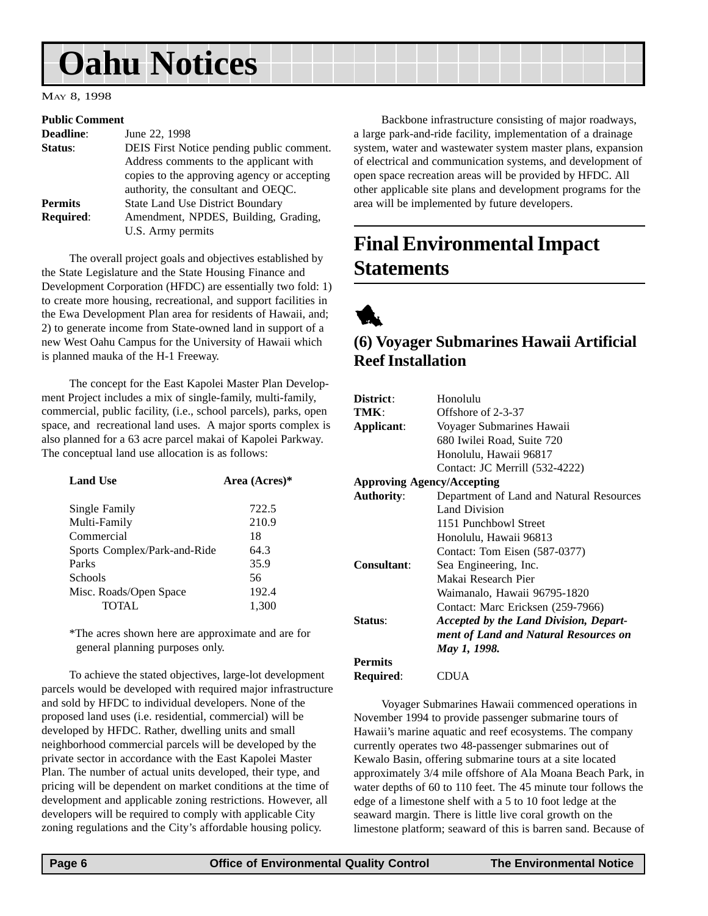## <span id="page-5-0"></span>**Oahu Notices**

#### MAY 8, 1998

#### **Public Comment**

| <b>Deadline:</b> | June 22, 1998                               |
|------------------|---------------------------------------------|
| Status:          | DEIS First Notice pending public comment.   |
|                  | Address comments to the applicant with      |
|                  | copies to the approving agency or accepting |
|                  | authority, the consultant and OEQC.         |
| <b>Permits</b>   | <b>State Land Use District Boundary</b>     |
| <b>Required:</b> | Amendment, NPDES, Building, Grading,        |
|                  | U.S. Army permits                           |

The overall project goals and objectives established by the State Legislature and the State Housing Finance and Development Corporation (HFDC) are essentially two fold: 1) to create more housing, recreational, and support facilities in the Ewa Development Plan area for residents of Hawaii, and; 2) to generate income from State-owned land in support of a new West Oahu Campus for the University of Hawaii which is planned mauka of the H-1 Freeway.

The concept for the East Kapolei Master Plan Development Project includes a mix of single-family, multi-family, commercial, public facility, (i.e., school parcels), parks, open space, and recreational land uses. A major sports complex is also planned for a 63 acre parcel makai of Kapolei Parkway. The conceptual land use allocation is as follows:

| <b>Land Use</b>              | Area (Acres)* |
|------------------------------|---------------|
| Single Family                | 722.5         |
| Multi-Family                 | 210.9         |
| Commercial                   | 18            |
| Sports Complex/Park-and-Ride | 64.3          |
| Parks                        | 35.9          |
| Schools                      | 56            |
| Misc. Roads/Open Space       | 192.4         |
| TOTAL.                       | 1.300         |

\*The acres shown here are approximate and are for general planning purposes only.

To achieve the stated objectives, large-lot development parcels would be developed with required major infrastructure and sold by HFDC to individual developers. None of the proposed land uses (i.e. residential, commercial) will be developed by HFDC. Rather, dwelling units and small neighborhood commercial parcels will be developed by the private sector in accordance with the East Kapolei Master Plan. The number of actual units developed, their type, and pricing will be dependent on market conditions at the time of development and applicable zoning restrictions. However, all developers will be required to comply with applicable City zoning regulations and the City's affordable housing policy.

Backbone infrastructure consisting of major roadways, a large park-and-ride facility, implementation of a drainage system, water and wastewater system master plans, expansion of electrical and communication systems, and development of open space recreation areas will be provided by HFDC. All other applicable site plans and development programs for the area will be implemented by future developers.

### **Final Environmental Impact Statements**

1

### **(6) Voyager Submarines Hawaii Artificial Reef Installation**

| District:                         | Honolulu                                      |
|-----------------------------------|-----------------------------------------------|
| TMK:                              | Offshore of 2-3-37                            |
| Applicant:                        | Voyager Submarines Hawaii                     |
|                                   | 680 Iwilei Road, Suite 720                    |
|                                   | Honolulu, Hawaii 96817                        |
|                                   | Contact: JC Merrill (532-4222)                |
| <b>Approving Agency/Accepting</b> |                                               |
| <b>Authority:</b>                 | Department of Land and Natural Resources      |
|                                   | Land Division                                 |
|                                   | 1151 Punchbowl Street                         |
|                                   | Honolulu, Hawaii 96813                        |
|                                   | Contact: Tom Eisen (587-0377)                 |
| Consultant:                       | Sea Engineering, Inc.                         |
|                                   | Makai Research Pier                           |
|                                   | Waimanalo, Hawaii 96795-1820                  |
|                                   | Contact: Marc Ericksen (259-7966)             |
| Status:                           | <b>Accepted by the Land Division, Depart-</b> |
|                                   | ment of Land and Natural Resources on         |
|                                   | May 1, 1998.                                  |
| <b>Permits</b>                    |                                               |
| Required:                         | CDUA                                          |

Voyager Submarines Hawaii commenced operations in November 1994 to provide passenger submarine tours of Hawaii's marine aquatic and reef ecosystems. The company currently operates two 48-passenger submarines out of Kewalo Basin, offering submarine tours at a site located approximately 3/4 mile offshore of Ala Moana Beach Park, in water depths of 60 to 110 feet. The 45 minute tour follows the edge of a limestone shelf with a 5 to 10 foot ledge at the seaward margin. There is little live coral growth on the limestone platform; seaward of this is barren sand. Because of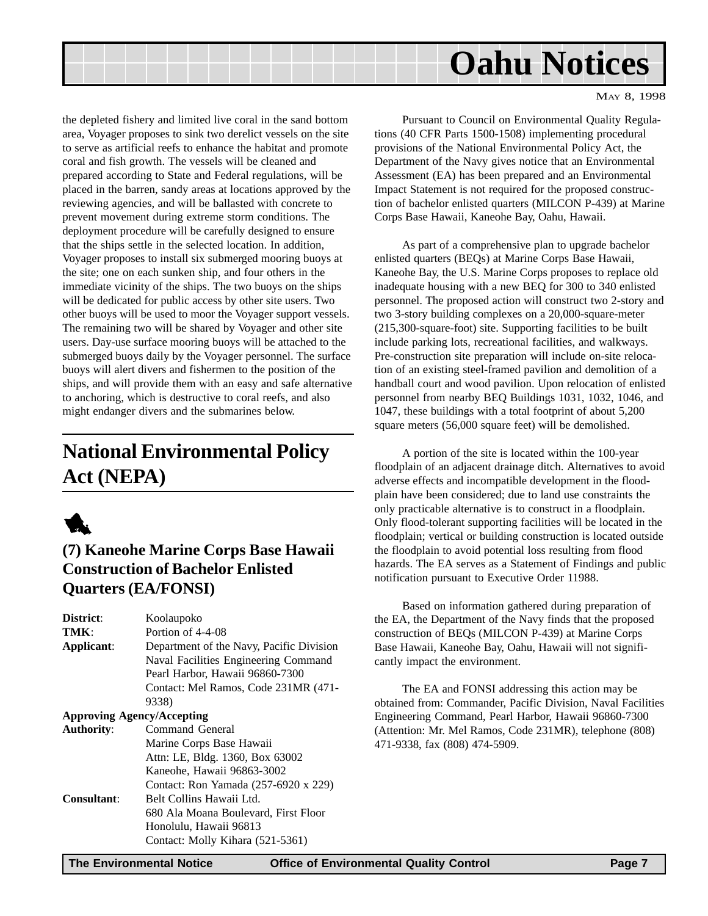<span id="page-6-0"></span>

the depleted fishery and limited live coral in the sand bottom area, Voyager proposes to sink two derelict vessels on the site to serve as artificial reefs to enhance the habitat and promote coral and fish growth. The vessels will be cleaned and prepared according to State and Federal regulations, will be placed in the barren, sandy areas at locations approved by the reviewing agencies, and will be ballasted with concrete to prevent movement during extreme storm conditions. The deployment procedure will be carefully designed to ensure that the ships settle in the selected location. In addition, Voyager proposes to install six submerged mooring buoys at the site; one on each sunken ship, and four others in the immediate vicinity of the ships. The two buoys on the ships will be dedicated for public access by other site users. Two other buoys will be used to moor the Voyager support vessels. The remaining two will be shared by Voyager and other site users. Day-use surface mooring buoys will be attached to the submerged buoys daily by the Voyager personnel. The surface buoys will alert divers and fishermen to the position of the ships, and will provide them with an easy and safe alternative to anchoring, which is destructive to coral reefs, and also might endanger divers and the submarines below.

### **National Environmental Policy Act (NEPA)**



### **(7) Kaneohe Marine Corps Base Hawaii Construction of Bachelor Enlisted Quarters (EA/FONSI)**

| District:         | Koolaupoko                               |
|-------------------|------------------------------------------|
| TMK:              | Portion of 4-4-08                        |
| Applicant:        | Department of the Navy, Pacific Division |
|                   | Naval Facilities Engineering Command     |
|                   | Pearl Harbor, Hawaii 96860-7300          |
|                   | Contact: Mel Ramos, Code 231MR (471-     |
|                   | 9338)                                    |
|                   | <b>Approving Agency/Accepting</b>        |
| <b>Authority:</b> | Command General                          |
|                   | Marine Corps Base Hawaii                 |
|                   | Attn: LE, Bldg. 1360, Box 63002          |
|                   | Kaneohe, Hawaii 96863-3002               |
|                   | Contact: Ron Yamada (257-6920 x 229)     |
| Consultant:       | Belt Collins Hawaii Ltd.                 |
|                   | 680 Ala Moana Boulevard, First Floor     |
|                   | Honolulu, Hawaii 96813                   |
|                   | Contact: Molly Kihara (521-5361)         |
|                   |                                          |

MAY 8, 1998

Pursuant to Council on Environmental Quality Regulations (40 CFR Parts 1500-1508) implementing procedural provisions of the National Environmental Policy Act, the Department of the Navy gives notice that an Environmental Assessment (EA) has been prepared and an Environmental Impact Statement is not required for the proposed construction of bachelor enlisted quarters (MILCON P-439) at Marine Corps Base Hawaii, Kaneohe Bay, Oahu, Hawaii.

As part of a comprehensive plan to upgrade bachelor enlisted quarters (BEQs) at Marine Corps Base Hawaii, Kaneohe Bay, the U.S. Marine Corps proposes to replace old inadequate housing with a new BEQ for 300 to 340 enlisted personnel. The proposed action will construct two 2-story and two 3-story building complexes on a 20,000-square-meter (215,300-square-foot) site. Supporting facilities to be built include parking lots, recreational facilities, and walkways. Pre-construction site preparation will include on-site relocation of an existing steel-framed pavilion and demolition of a handball court and wood pavilion. Upon relocation of enlisted personnel from nearby BEQ Buildings 1031, 1032, 1046, and 1047, these buildings with a total footprint of about 5,200 square meters (56,000 square feet) will be demolished.

A portion of the site is located within the 100-year floodplain of an adjacent drainage ditch. Alternatives to avoid adverse effects and incompatible development in the floodplain have been considered; due to land use constraints the only practicable alternative is to construct in a floodplain. Only flood-tolerant supporting facilities will be located in the floodplain; vertical or building construction is located outside the floodplain to avoid potential loss resulting from flood hazards. The EA serves as a Statement of Findings and public notification pursuant to Executive Order 11988.

Based on information gathered during preparation of the EA, the Department of the Navy finds that the proposed construction of BEQs (MILCON P-439) at Marine Corps Base Hawaii, Kaneohe Bay, Oahu, Hawaii will not significantly impact the environment.

The EA and FONSI addressing this action may be obtained from: Commander, Pacific Division, Naval Facilities Engineering Command, Pearl Harbor, Hawaii 96860-7300 (Attention: Mr. Mel Ramos, Code 231MR), telephone (808) 471-9338, fax (808) 474-5909.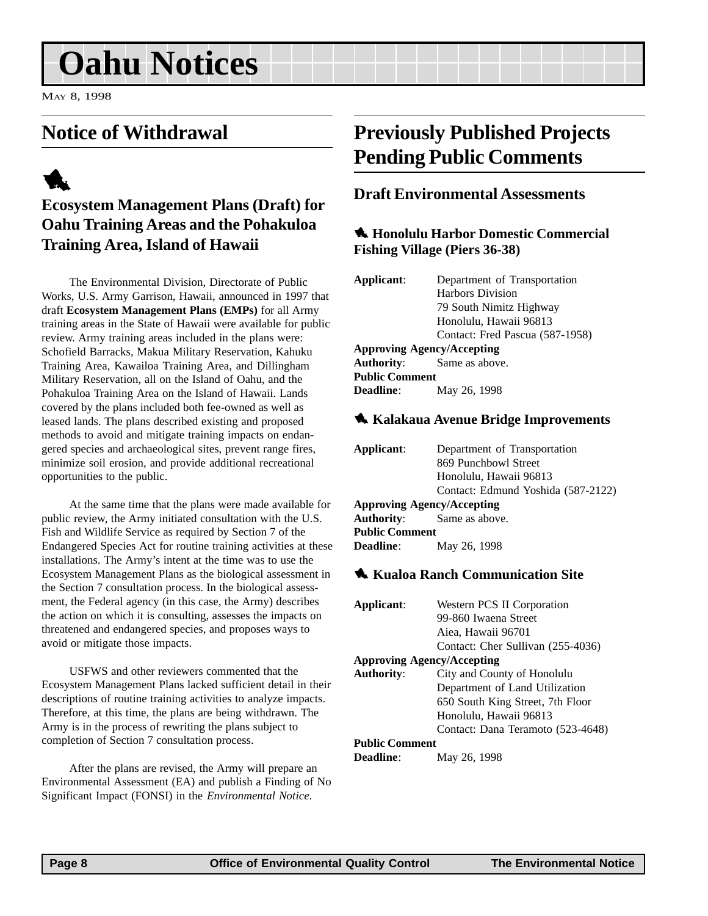## <span id="page-7-0"></span>**Oahu Notices**

MAY 8, 1998

### **Notice of Withdrawal**

## 1

### **Ecosystem Management Plans (Draft) for Oahu Training Areas and the Pohakuloa Training Area, Island of Hawaii**

The Environmental Division, Directorate of Public Works, U.S. Army Garrison, Hawaii, announced in 1997 that draft **Ecosystem Management Plans (EMPs)** for all Army training areas in the State of Hawaii were available for public review. Army training areas included in the plans were: Schofield Barracks, Makua Military Reservation, Kahuku Training Area, Kawailoa Training Area, and Dillingham Military Reservation, all on the Island of Oahu, and the Pohakuloa Training Area on the Island of Hawaii. Lands covered by the plans included both fee-owned as well as leased lands. The plans described existing and proposed methods to avoid and mitigate training impacts on endangered species and archaeological sites, prevent range fires, minimize soil erosion, and provide additional recreational opportunities to the public.

At the same time that the plans were made available for public review, the Army initiated consultation with the U.S. Fish and Wildlife Service as required by Section 7 of the Endangered Species Act for routine training activities at these installations. The Army's intent at the time was to use the Ecosystem Management Plans as the biological assessment in the Section 7 consultation process. In the biological assessment, the Federal agency (in this case, the Army) describes the action on which it is consulting, assesses the impacts on threatened and endangered species, and proposes ways to avoid or mitigate those impacts.

USFWS and other reviewers commented that the Ecosystem Management Plans lacked sufficient detail in their descriptions of routine training activities to analyze impacts. Therefore, at this time, the plans are being withdrawn. The Army is in the process of rewriting the plans subject to completion of Section 7 consultation process.

After the plans are revised, the Army will prepare an Environmental Assessment (EA) and publish a Finding of No Significant Impact (FONSI) in the *Environmental Notice*.

### **Previously Published Projects Pending Public Comments**

### **Draft Environmental Assessments**

### 1 **Honolulu Harbor Domestic Commercial Fishing Village (Piers 36-38)**

| Applicant:                        | Department of Transportation    |
|-----------------------------------|---------------------------------|
|                                   | <b>Harbors Division</b>         |
|                                   | 79 South Nimitz Highway         |
|                                   | Honolulu, Hawaii 96813          |
|                                   | Contact: Fred Pascua (587-1958) |
| <b>Approving Agency/Accepting</b> |                                 |
| <b>Authority:</b>                 | Same as above.                  |
| <b>Public Comment</b>             |                                 |
| Deadline:                         | May 26, 1998                    |
|                                   |                                 |

#### 1 **Kalakaua Avenue Bridge Improvements**

| Applicant: | Department of Transportation       |
|------------|------------------------------------|
|            | 869 Punchbowl Street               |
|            | Honolulu, Hawaii 96813             |
|            | Contact: Edmund Yoshida (587-2122) |
|            |                                    |

#### **Approving Agency/Accepting**

**Authority**: Same as above. **Public Comment Deadline**: May 26, 1998

#### $\triangle$  **Kualoa Ranch Communication Site**

| Applicant:            | Western PCS II Corporation        |
|-----------------------|-----------------------------------|
|                       | 99-860 Iwaena Street              |
|                       | Aiea, Hawaii 96701                |
|                       | Contact: Cher Sullivan (255-4036) |
|                       | <b>Approving Agency/Accepting</b> |
| <b>Authority:</b>     | City and County of Honolulu       |
|                       | Department of Land Utilization    |
|                       | 650 South King Street, 7th Floor  |
|                       | Honolulu, Hawaii 96813            |
|                       | Contact: Dana Teramoto (523-4648) |
| <b>Public Comment</b> |                                   |
| <b>Deadline:</b>      | May 26, 1998                      |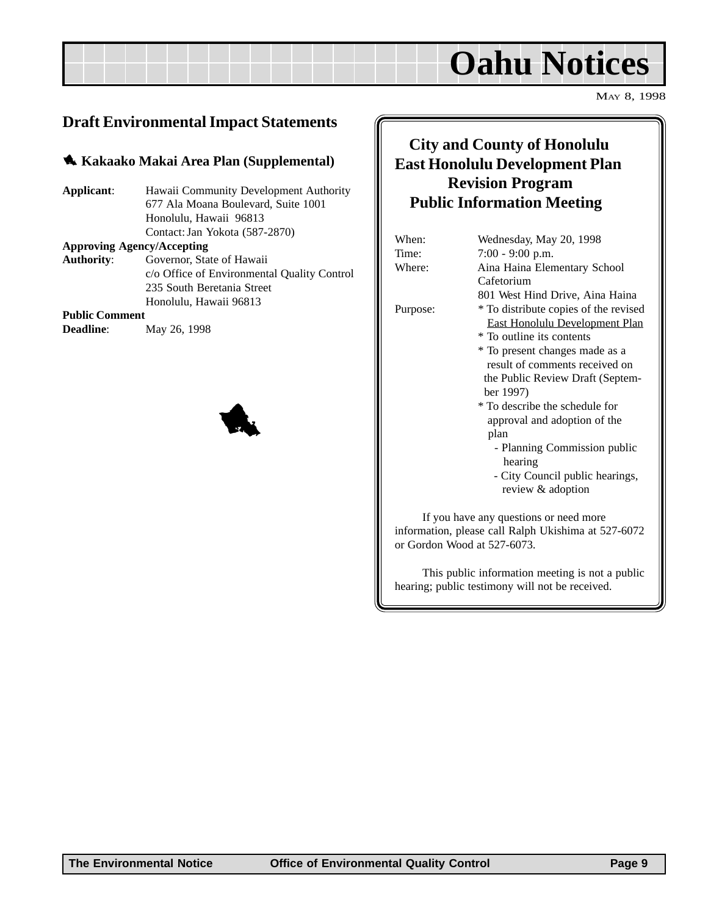## **Oahu Notices**

MAY 8, 1998

### <span id="page-8-0"></span>**Draft Environmental Impact Statements**

### 1 **Kakaako Makai Area Plan (Supplemental)**

**Applicant**: Hawaii Community Development Authority 677 Ala Moana Boulevard, Suite 1001 Honolulu, Hawaii 96813 Contact: Jan Yokota (587-2870) **Approving Agency/Accepting Authority**: Governor, State of Hawaii

c/o Office of Environmental Quality Control 235 South Beretania Street Honolulu, Hawaii 96813

#### **Public Comment**

**Deadline**: May 26, 1998



### **City and County of Honolulu East Honolulu Development Plan Revision Program Public Information Meeting**

When: Wednesday, May 20, 1998 Time: 7:00 - 9:00 p.m. Where: Aina Haina Elementary School Cafetorium 801 West Hind Drive, Aina Haina Purpose: \* To distribute copies of the revised East Honolulu Development Plan \* To outline its contents \* To present changes made as a result of comments received on the Public Review Draft (Septem ber 1997) \* To describe the schedule for approval and adoption of the plan - Planning Commission public hearing - City Council public hearings, review & adoption

If you have any questions or need more information, please call Ralph Ukishima at 527-6072 or Gordon Wood at 527-6073.

This public information meeting is not a public hearing; public testimony will not be received.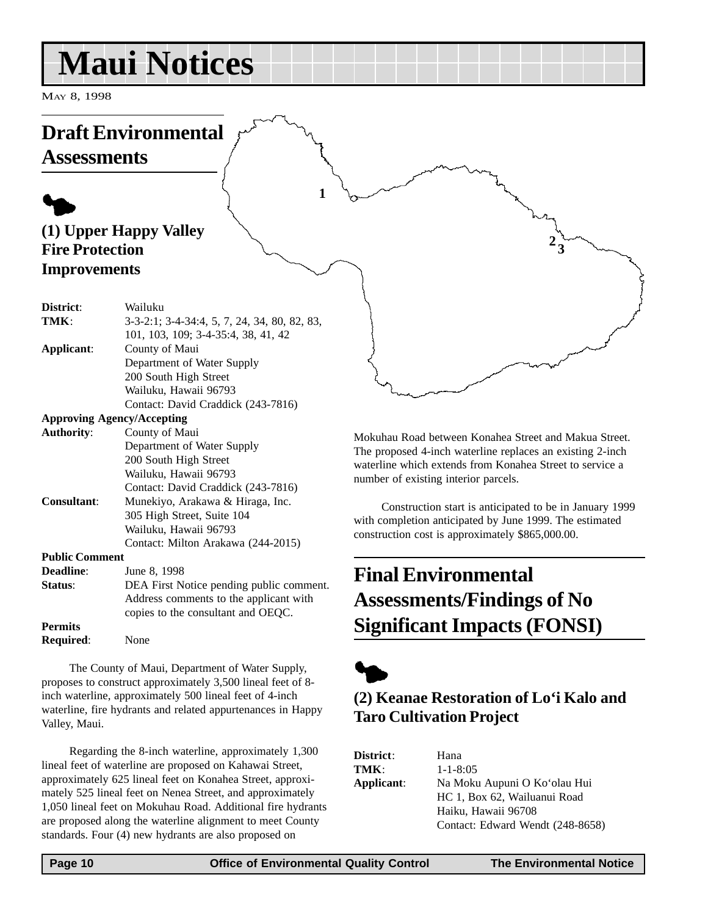## <span id="page-9-0"></span>**Maui Notices**

MAY 8, 1998

### **Draft Environmental Assessments**  $\blacklozenge$ **(1) Upper Happy Valley Fire Protection Improvements District**: Wailuku **TMK**: 3-3-2:1; 3-4-34:4, 5, 7, 24, 34, 80, 82, 83, 101, 103, 109; 3-4-35:4, 38, 41, 42 **Applicant**: County of Maui Department of Water Supply 200 South High Street Wailuku, Hawaii 96793 Contact: David Craddick (243-7816) **Approving Agency/Accepting 1**  $2\frac{3}{3}$

| $\epsilon$ contact: $\epsilon$ is changed $\epsilon$ is 1910) |  |
|---------------------------------------------------------------|--|
| <b>Approving Agency/Accepting</b>                             |  |
| County of Maui                                                |  |
| Department of Water Supply                                    |  |
| 200 South High Street                                         |  |
| Wailuku, Hawaii 96793                                         |  |
| Contact: David Craddick (243-7816)                            |  |
| Munekiyo, Arakawa & Hiraga, Inc.                              |  |
| 305 High Street, Suite 104                                    |  |
| Wailuku, Hawaii 96793                                         |  |
| Contact: Milton Arakawa (244-2015)                            |  |
| <b>Public Comment</b>                                         |  |
| June 8, 1998                                                  |  |
| DEA First Notice pending public comment.                      |  |
| Address comments to the applicant with                        |  |
| copies to the consultant and OEQC.                            |  |
|                                                               |  |

**Permits Required**: None

The County of Maui, Department of Water Supply, proposes to construct approximately 3,500 lineal feet of 8 inch waterline, approximately 500 lineal feet of 4-inch waterline, fire hydrants and related appurtenances in Happy Valley, Maui.

Regarding the 8-inch waterline, approximately 1,300 lineal feet of waterline are proposed on Kahawai Street, approximately 625 lineal feet on Konahea Street, approximately 525 lineal feet on Nenea Street, and approximately 1,050 lineal feet on Mokuhau Road. Additional fire hydrants are proposed along the waterline alignment to meet County standards. Four (4) new hydrants are also proposed on

Mokuhau Road between Konahea Street and Makua Street. The proposed 4-inch waterline replaces an existing 2-inch waterline which extends from Konahea Street to service a number of existing interior parcels.

Construction start is anticipated to be in January 1999 with completion anticipated by June 1999. The estimated construction cost is approximately \$865,000.00.

## **Final Environmental Assessments/Findings of No Significant Impacts (FONSI)**



### **(2) Keanae Restoration of Lo'i Kalo and Taro Cultivation Project**

| District:  | Hana                             |
|------------|----------------------------------|
| TMK:       | $1 - 1 - 8:05$                   |
| Applicant: | Na Moku Aupuni O Ko'olau Hui     |
|            | HC 1, Box 62, Wailuanui Road     |
|            | Haiku, Hawaii 96708              |
|            | Contact: Edward Wendt (248-8658) |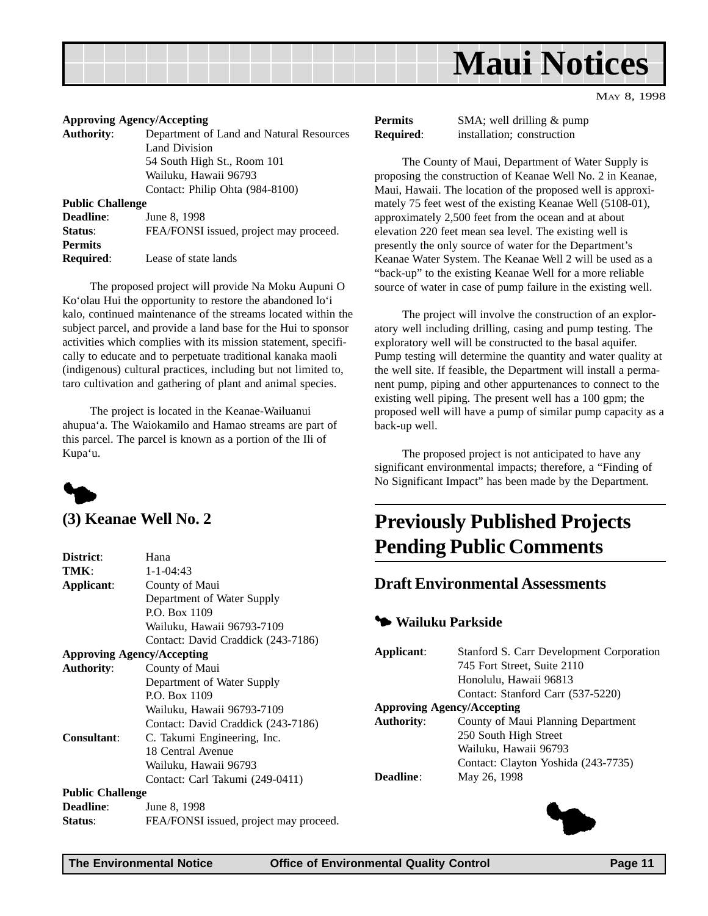

MAY 8, 1998

#### <span id="page-10-0"></span>**Approving Agency/Accepting**

| <b>Authority:</b>       | Department of Land and Natural Resources |
|-------------------------|------------------------------------------|
|                         | Land Division                            |
|                         | 54 South High St., Room 101              |
|                         | Wailuku, Hawaii 96793                    |
|                         | Contact: Philip Ohta (984-8100)          |
| <b>Public Challenge</b> |                                          |
| <b>Deadline:</b>        | June 8, 1998                             |
| Status:                 | FEA/FONSI issued, project may proceed.   |
| <b>Permits</b>          |                                          |
| <b>Required:</b>        | Lease of state lands                     |
|                         |                                          |

The proposed project will provide Na Moku Aupuni O Ko'olau Hui the opportunity to restore the abandoned lo'i kalo, continued maintenance of the streams located within the subject parcel, and provide a land base for the Hui to sponsor activities which complies with its mission statement, specifically to educate and to perpetuate traditional kanaka maoli (indigenous) cultural practices, including but not limited to, taro cultivation and gathering of plant and animal species.

The project is located in the Keanae-Wailuanui ahupua'a. The Waiokamilo and Hamao streams are part of this parcel. The parcel is known as a portion of the Ili of Kupa'u.



### **(3) Keanae Well No. 2**

| Hana                                   |
|----------------------------------------|
| $1 - 1 - 04:43$                        |
| County of Maui                         |
| Department of Water Supply             |
| P.O. Box 1109                          |
| Wailuku, Hawaii 96793-7109             |
| Contact: David Craddick (243-7186)     |
| <b>Approving Agency/Accepting</b>      |
| County of Maui                         |
| Department of Water Supply             |
| P.O. Box 1109                          |
| Wailuku, Hawaii 96793-7109             |
| Contact: David Craddick (243-7186)     |
| C. Takumi Engineering, Inc.            |
| 18 Central Avenue                      |
| Wailuku, Hawaii 96793                  |
| Contact: Carl Takumi (249-0411)        |
| <b>Public Challenge</b>                |
| June 8, 1998                           |
| FEA/FONSI issued, project may proceed. |
|                                        |

**Permits** SMA; well drilling & pump **Required:** installation; construction

The County of Maui, Department of Water Supply is proposing the construction of Keanae Well No. 2 in Keanae, Maui, Hawaii. The location of the proposed well is approximately 75 feet west of the existing Keanae Well (5108-01), approximately 2,500 feet from the ocean and at about elevation 220 feet mean sea level. The existing well is presently the only source of water for the Department's Keanae Water System. The Keanae Well 2 will be used as a "back-up" to the existing Keanae Well for a more reliable source of water in case of pump failure in the existing well.

The project will involve the construction of an exploratory well including drilling, casing and pump testing. The exploratory well will be constructed to the basal aquifer. Pump testing will determine the quantity and water quality at the well site. If feasible, the Department will install a permanent pump, piping and other appurtenances to connect to the existing well piping. The present well has a 100 gpm; the proposed well will have a pump of similar pump capacity as a back-up well.

The proposed project is not anticipated to have any significant environmental impacts; therefore, a "Finding of No Significant Impact" has been made by the Department.

### **Previously Published Projects Pending Public Comments**

### **Draft Environmental Assessments**

#### 3 **Wailuku Parkside**

| Stanford S. Carr Development Corporation |  |
|------------------------------------------|--|
| 745 Fort Street, Suite 2110              |  |
| Honolulu, Hawaii 96813                   |  |
| Contact: Stanford Carr (537-5220)        |  |
| <b>Approving Agency/Accepting</b>        |  |
| County of Maui Planning Department       |  |
| 250 South High Street                    |  |
| Wailuku, Hawaii 96793                    |  |
| Contact: Clayton Yoshida (243-7735)      |  |
| May 26, 1998                             |  |
|                                          |  |

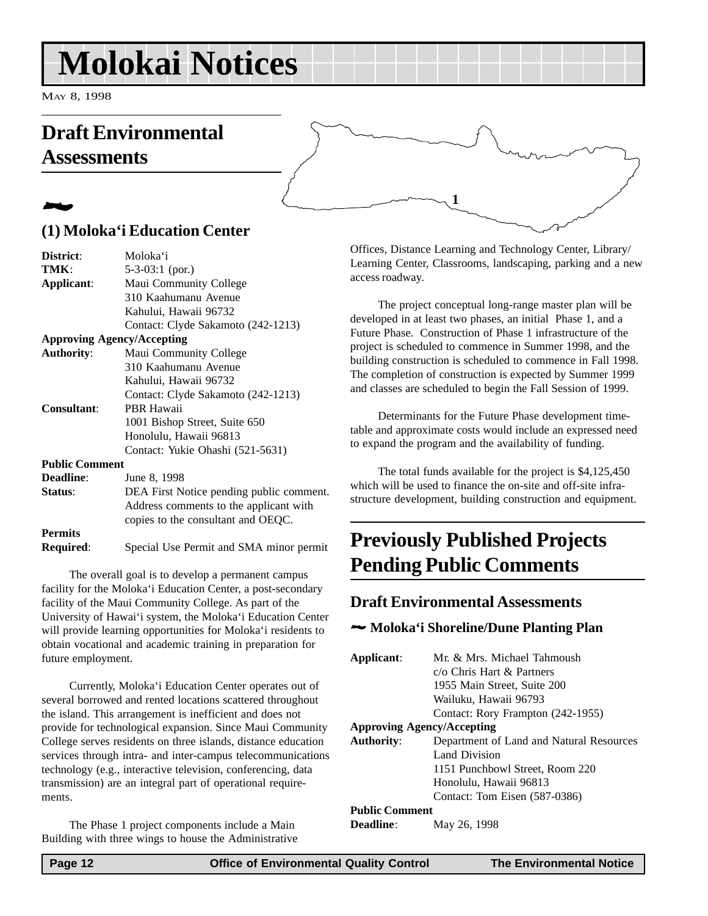## <span id="page-11-0"></span>**Molokai Notices**

MAY 8, 1998

### **Draft Environmental Assessments**

## 2

### **(1) Moloka'i Education Center**

| District:             | Moloka'i                                 |
|-----------------------|------------------------------------------|
| TMK:                  | $5-3-03:1$ (por.)                        |
| Applicant:            | Maui Community College                   |
|                       | 310 Kaahumanu Avenue                     |
|                       | Kahului, Hawaii 96732                    |
|                       | Contact: Clyde Sakamoto (242-1213)       |
|                       | <b>Approving Agency/Accepting</b>        |
| <b>Authority:</b>     | Maui Community College                   |
|                       | 310 Kaahumanu Avenue                     |
|                       | Kahului, Hawaii 96732                    |
|                       | Contact: Clyde Sakamoto (242-1213)       |
| Consultant:           | <b>PBR Hawaii</b>                        |
|                       | 1001 Bishop Street, Suite 650            |
|                       | Honolulu, Hawaii 96813                   |
|                       | Contact: Yukie Ohashi (521-5631)         |
| <b>Public Comment</b> |                                          |
| <b>Deadline:</b>      | June 8, 1998                             |
| Status:               | DEA First Notice pending public comment. |
|                       | Address comments to the applicant with   |
|                       | copies to the consultant and OEQC.       |
| <b>Permits</b>        |                                          |
| <b>Required:</b>      | Special Use Permit and SMA minor permit  |

The overall goal is to develop a permanent campus facility for the Moloka'i Education Center, a post-secondary facility of the Maui Community College. As part of the University of Hawai'i system, the Moloka'i Education Center will provide learning opportunities for Moloka'i residents to obtain vocational and academic training in preparation for future employment.

Currently, Moloka'i Education Center operates out of several borrowed and rented locations scattered throughout the island. This arrangement is inefficient and does not provide for technological expansion. Since Maui Community College serves residents on three islands, distance education services through intra- and inter-campus telecommunications technology (e.g., interactive television, conferencing, data transmission) are an integral part of operational requirements.

The Phase 1 project components include a Main Building with three wings to house the Administrative

Offices, Distance Learning and Technology Center, Library/ Learning Center, Classrooms, landscaping, parking and a new access roadway.

**1**

The project conceptual long-range master plan will be developed in at least two phases, an initial Phase 1, and a Future Phase. Construction of Phase 1 infrastructure of the project is scheduled to commence in Summer 1998, and the building construction is scheduled to commence in Fall 1998. The completion of construction is expected by Summer 1999 and classes are scheduled to begin the Fall Session of 1999.

Determinants for the Future Phase development timetable and approximate costs would include an expressed need to expand the program and the availability of funding.

The total funds available for the project is \$4,125,450 which will be used to finance the on-site and off-site infrastructure development, building construction and equipment.

### **Previously Published Projects Pending Public Comments**

### **Draft Environmental Assessments**

#### 2 **Moloka'i Shoreline/Dune Planting Plan**

| Applicant:                        | Mr. & Mrs. Michael Tahmoush              |
|-----------------------------------|------------------------------------------|
|                                   | $c/\sigma$ Chris Hart & Partners         |
|                                   | 1955 Main Street, Suite 200              |
|                                   | Wailuku, Hawaii 96793                    |
|                                   | Contact: Rory Frampton (242-1955)        |
| <b>Approving Agency/Accepting</b> |                                          |
| <b>Authority:</b>                 | Department of Land and Natural Resources |
|                                   | Land Division                            |
|                                   | 1151 Punchbowl Street, Room 220          |
|                                   | Honolulu, Hawaii 96813                   |
|                                   | Contact: Tom Eisen (587-0386)            |
| <b>Public Comment</b>             |                                          |
| <b>Deadline:</b>                  | May 26, 1998                             |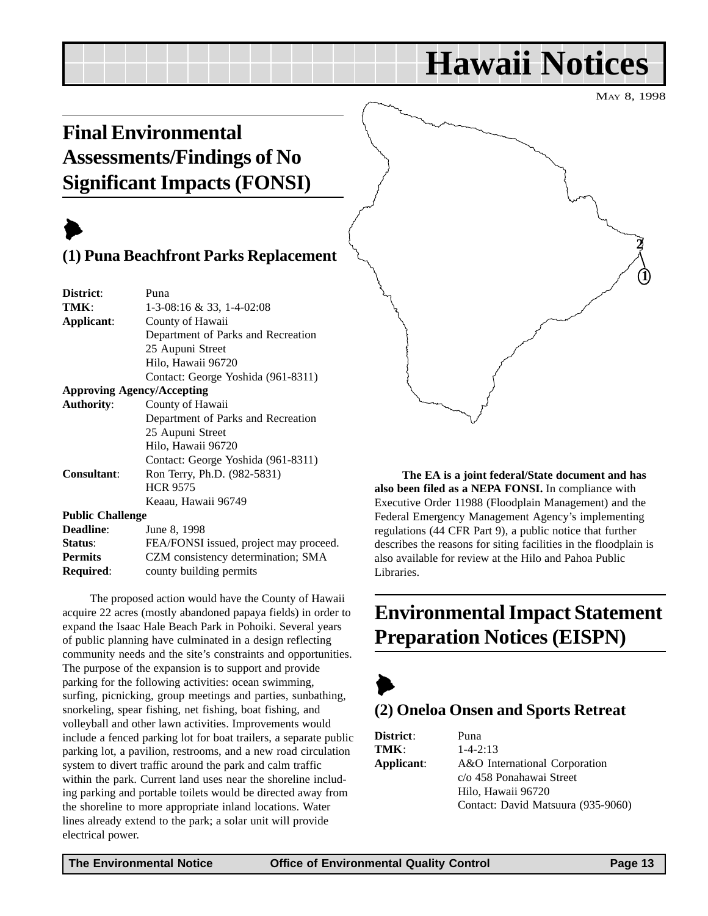## **Hawaii Notices**

MAY 8, 1998

## <span id="page-12-0"></span>**Final Environmental Assessments/Findings of No Significant Impacts (FONSI)**

## $\blacktriangleright$

### **(1) Puna Beachfront Parks Replacement**

| District:                         | Puna                               |
|-----------------------------------|------------------------------------|
| TMK:                              | $1-3-08:16 \& 33, 1-4-02:08$       |
| Applicant:                        | County of Hawaii                   |
|                                   | Department of Parks and Recreation |
|                                   | 25 Aupuni Street                   |
|                                   | Hilo, Hawaii 96720                 |
|                                   | Contact: George Yoshida (961-8311) |
| <b>Approving Agency/Accepting</b> |                                    |
| <b>Authority:</b>                 | County of Hawaii                   |
|                                   | Department of Parks and Recreation |
|                                   | 25 Aupuni Street                   |
|                                   | Hilo, Hawaii 96720                 |
|                                   | Contact: George Yoshida (961-8311) |
| <b>Consultant:</b>                | Ron Terry, Ph.D. (982-5831)        |
|                                   | <b>HCR 9575</b>                    |
|                                   | Keaau, Hawaii 96749                |
| <b>Public Challenge</b>           |                                    |
|                                   |                                    |

**Deadline:** June 8, 1998 **Status:** FEA/FONSI issued, project may proceed. **Permits** CZM consistency determination; SMA **Required:** county building permits

The proposed action would have the County of Hawaii acquire 22 acres (mostly abandoned papaya fields) in order to expand the Isaac Hale Beach Park in Pohoiki. Several years of public planning have culminated in a design reflecting community needs and the site's constraints and opportunities. The purpose of the expansion is to support and provide parking for the following activities: ocean swimming, surfing, picnicking, group meetings and parties, sunbathing, snorkeling, spear fishing, net fishing, boat fishing, and volleyball and other lawn activities. Improvements would include a fenced parking lot for boat trailers, a separate public parking lot, a pavilion, restrooms, and a new road circulation system to divert traffic around the park and calm traffic within the park. Current land uses near the shoreline including parking and portable toilets would be directed away from the shoreline to more appropriate inland locations. Water lines already extend to the park; a solar unit will provide electrical power.



**The EA is a joint federal/State document and has also been filed as a NEPA FONSI.** In compliance with Executive Order 11988 (Floodplain Management) and the Federal Emergency Management Agency's implementing regulations (44 CFR Part 9), a public notice that further describes the reasons for siting facilities in the floodplain is also available for review at the Hilo and Pahoa Public Libraries.

## **Environmental Impact Statement Preparation Notices (EISPN)**

## $\blacktriangleright$ **(2) Oneloa Onsen and Sports Retreat**

### **District**: Puna **TMK**: 1-4-2:13

| TMD.       | $1 - 4 - 2.1$                      |
|------------|------------------------------------|
| Applicant: | A&O International Corporation      |
|            | c/o 458 Ponahawai Street           |
|            | Hilo, Hawaii 96720                 |
|            | Contact: David Matsuura (935-9060) |
|            |                                    |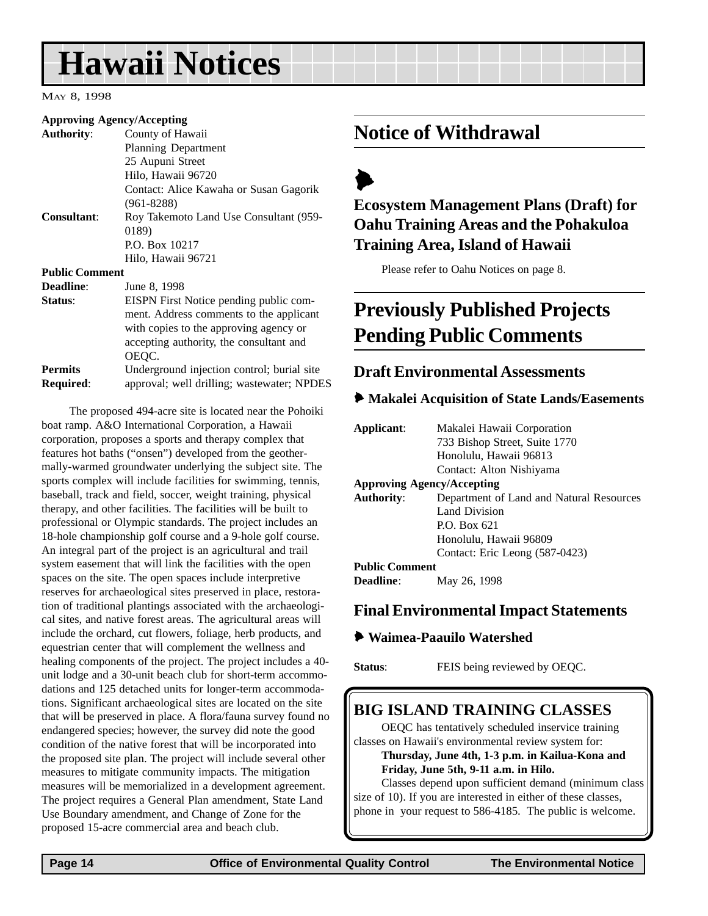## <span id="page-13-0"></span>**Hawaii Notices**

MAY 8, 1998

#### **Approving Agency/Accepting**

| <b>Authority:</b>     | County of Hawaii                        |  |  |
|-----------------------|-----------------------------------------|--|--|
|                       | Planning Department                     |  |  |
|                       | 25 Aupuni Street                        |  |  |
|                       | Hilo, Hawaii 96720                      |  |  |
|                       | Contact: Alice Kawaha or Susan Gagorik  |  |  |
|                       | $(961 - 8288)$                          |  |  |
| <b>Consultant:</b>    | Roy Takemoto Land Use Consultant (959-  |  |  |
|                       | 0189)                                   |  |  |
|                       | P.O. Box 10217                          |  |  |
|                       | Hilo, Hawaii 96721                      |  |  |
| <b>Public Comment</b> |                                         |  |  |
| <b>Deadline:</b>      | June 8, 1998                            |  |  |
| Status:               | EISPN First Notice pending public com-  |  |  |
|                       | ment. Address comments to the applicant |  |  |
|                       |                                         |  |  |

with copies to the approving agency or accepting authority, the consultant and OEQC. **Permits** Underground injection control; burial site **Required:** approval; well drilling; wastewater; NPDES

The proposed 494-acre site is located near the Pohoiki boat ramp. A&O International Corporation, a Hawaii corporation, proposes a sports and therapy complex that features hot baths ("onsen") developed from the geothermally-warmed groundwater underlying the subject site. The sports complex will include facilities for swimming, tennis, baseball, track and field, soccer, weight training, physical therapy, and other facilities. The facilities will be built to professional or Olympic standards. The project includes an 18-hole championship golf course and a 9-hole golf course. An integral part of the project is an agricultural and trail system easement that will link the facilities with the open spaces on the site. The open spaces include interpretive reserves for archaeological sites preserved in place, restoration of traditional plantings associated with the archaeological sites, and native forest areas. The agricultural areas will include the orchard, cut flowers, foliage, herb products, and equestrian center that will complement the wellness and healing components of the project. The project includes a 40 unit lodge and a 30-unit beach club for short-term accommodations and 125 detached units for longer-term accommodations. Significant archaeological sites are located on the site that will be preserved in place. A flora/fauna survey found no endangered species; however, the survey did note the good condition of the native forest that will be incorporated into the proposed site plan. The project will include several other measures to mitigate community impacts. The mitigation measures will be memorialized in a development agreement. The project requires a General Plan amendment, State Land Use Boundary amendment, and Change of Zone for the proposed 15-acre commercial area and beach club.

### **Notice of Withdrawal**

 $\blacktriangleright$ 

**Ecosystem Management Plans (Draft) for Oahu Training Areas and the Pohakuloa Training Area, Island of Hawaii**

Please refer to Oahu Notices on page 8.

## **Previously Published Projects Pending Public Comments**

### **Draft Environmental Assessments**

6 **Makalei Acquisition of State Lands/Easements**

| Applicant:                        | Makalei Hawaii Corporation<br>733 Bishop Street, Suite 1770<br>Honolulu, Hawaii 96813 |  |
|-----------------------------------|---------------------------------------------------------------------------------------|--|
|                                   | Contact: Alton Nishiyama                                                              |  |
| <b>Approving Agency/Accepting</b> |                                                                                       |  |
| <b>Authority:</b>                 | Department of Land and Natural Resources                                              |  |
|                                   | Land Division                                                                         |  |
|                                   | $P.$ Box 621                                                                          |  |
|                                   | Honolulu, Hawaii 96809                                                                |  |
|                                   | Contact: Eric Leong (587-0423)                                                        |  |
| <b>Public Comment</b>             |                                                                                       |  |
| <b>Deadline:</b>                  | May 26, 1998                                                                          |  |

### **Final Environmental Impact Statements**

6 **Waimea-Paauilo Watershed**

**Status**: FEIS being reviewed by OEQC.

### **BIG ISLAND TRAINING CLASSES**

OEQC has tentatively scheduled inservice training classes on Hawaii's environmental review system for:

**Thursday, June 4th, 1-3 p.m. in Kailua-Kona and Friday, June 5th, 9-11 a.m. in Hilo.**

Classes depend upon sufficient demand (minimum class size of 10). If you are interested in either of these classes, phone in your request to 586-4185. The public is welcome.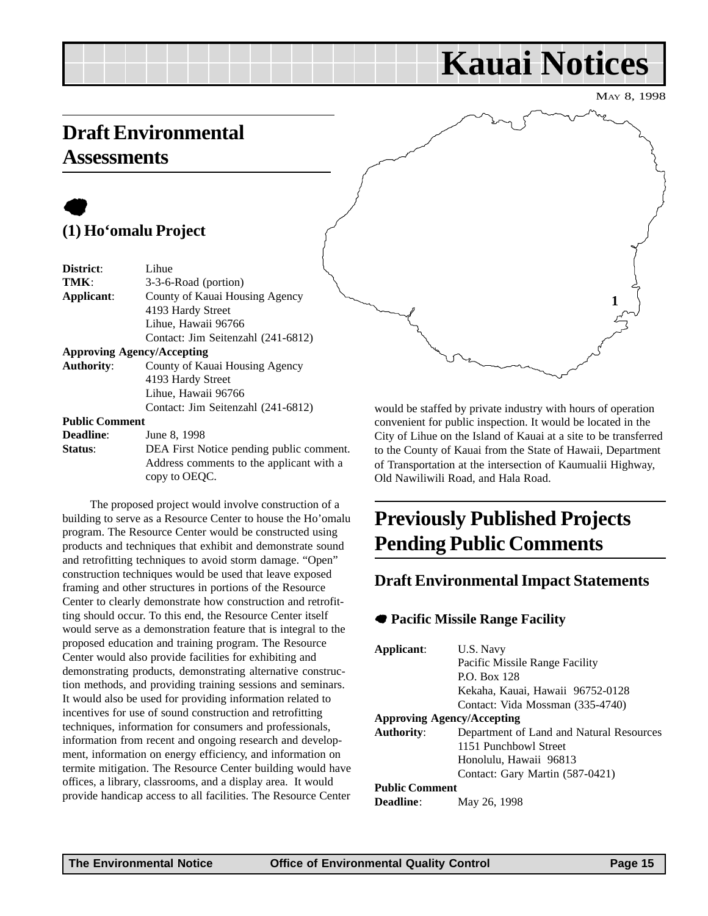## **Kauai Notices**

MAY 8, 1998

### <span id="page-14-0"></span>**Draft Environmental Assessments**

### $\bullet$ **(1) Ho'omalu Project**

| District:                                           | Lihue                                    |  |
|-----------------------------------------------------|------------------------------------------|--|
| TMK:                                                | 3-3-6-Road (portion)                     |  |
| Applicant:                                          | County of Kauai Housing Agency           |  |
|                                                     | 4193 Hardy Street                        |  |
|                                                     | Lihue, Hawaii 96766                      |  |
|                                                     | Contact: Jim Seitenzahl (241-6812)       |  |
|                                                     | <b>Approving Agency/Accepting</b>        |  |
| <b>Authority:</b>                                   | County of Kauai Housing Agency           |  |
|                                                     | 4193 Hardy Street                        |  |
|                                                     | Lihue, Hawaii 96766                      |  |
|                                                     | Contact: Jim Seitenzahl (241-6812)       |  |
| <b>Public Comment</b>                               |                                          |  |
| <b>Deadline:</b>                                    | June 8, 1998                             |  |
| Status:<br>DEA First Notice pending public comment. |                                          |  |
|                                                     | Address commants to the englisent with a |  |

Address comments to the applicant with a copy to OEQC.

The proposed project would involve construction of a building to serve as a Resource Center to house the Ho'omalu program. The Resource Center would be constructed using products and techniques that exhibit and demonstrate sound and retrofitting techniques to avoid storm damage. "Open" construction techniques would be used that leave exposed framing and other structures in portions of the Resource Center to clearly demonstrate how construction and retrofitting should occur. To this end, the Resource Center itself would serve as a demonstration feature that is integral to the proposed education and training program. The Resource Center would also provide facilities for exhibiting and demonstrating products, demonstrating alternative construction methods, and providing training sessions and seminars. It would also be used for providing information related to incentives for use of sound construction and retrofitting techniques, information for consumers and professionals, information from recent and ongoing research and development, information on energy efficiency, and information on termite mitigation. The Resource Center building would have offices, a library, classrooms, and a display area. It would provide handicap access to all facilities. The Resource Center

**1**

would be staffed by private industry with hours of operation convenient for public inspection. It would be located in the City of Lihue on the Island of Kauai at a site to be transferred to the County of Kauai from the State of Hawaii, Department of Transportation at the intersection of Kaumualii Highway, Old Nawiliwili Road, and Hala Road.

## **Previously Published Projects Pending Public Comments**

### **Draft Environmental Impact Statements**

### 7 **Pacific Missile Range Facility**

| Applicant:            | U.S. Navy                                |  |  |  |
|-----------------------|------------------------------------------|--|--|--|
|                       | Pacific Missile Range Facility           |  |  |  |
|                       | P.O. Box 128                             |  |  |  |
|                       | Kekaha, Kauai, Hawaii 96752-0128         |  |  |  |
|                       | Contact: Vida Mossman (335-4740)         |  |  |  |
|                       | <b>Approving Agency/Accepting</b>        |  |  |  |
| <b>Authority:</b>     | Department of Land and Natural Resources |  |  |  |
|                       | 1151 Punchbowl Street                    |  |  |  |
|                       | Honolulu, Hawaii 96813                   |  |  |  |
|                       | Contact: Gary Martin (587-0421)          |  |  |  |
| <b>Public Comment</b> |                                          |  |  |  |
| <b>Deadline:</b>      | May 26, 1998                             |  |  |  |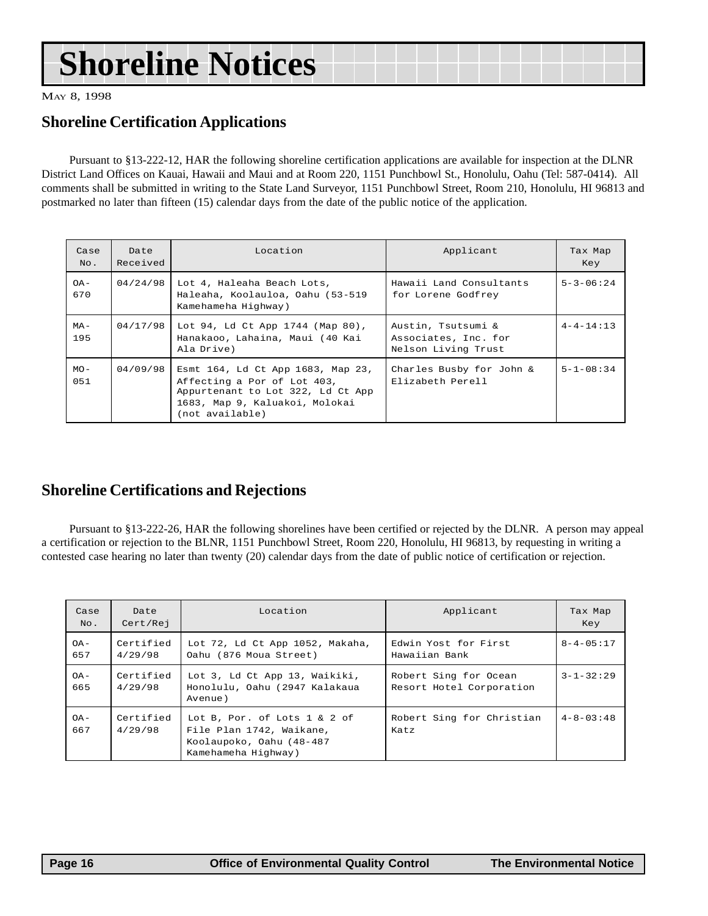## **Shoreline Notices**

MAY 8, 1998

### **Shoreline Certification Applications**

Pursuant to §13-222-12, HAR the following shoreline certification applications are available for inspection at the DLNR District Land Offices on Kauai, Hawaii and Maui and at Room 220, 1151 Punchbowl St., Honolulu, Oahu (Tel: 587-0414). All comments shall be submitted in writing to the State Land Surveyor, 1151 Punchbowl Street, Room 210, Honolulu, HI 96813 and postmarked no later than fifteen (15) calendar days from the date of the public notice of the application.

| Case<br>No.   | Date<br>Received | Location                                                                                                                                                   | Applicant                                                         | Tax Map<br>Key    |
|---------------|------------------|------------------------------------------------------------------------------------------------------------------------------------------------------------|-------------------------------------------------------------------|-------------------|
| $OA -$<br>670 | 04/24/98         | Lot 4, Haleaha Beach Lots,<br>Haleaha, Koolauloa, Oahu (53-519<br>Kamehameha Highway)                                                                      | Hawaii Land Consultants<br>for Lorene Godfrey                     | $5 - 3 - 06:24$   |
| $MA -$<br>195 | 04/17/98         | Lot 94, Ld Ct App 1744 (Map 80),<br>Hanakaoo, Lahaina, Maui (40 Kai<br>Ala Drive)                                                                          | Austin, Tsutsumi &<br>Associates, Inc. for<br>Nelson Living Trust | $4 - 4 - 14:13$   |
| $MO -$<br>051 | 04/09/98         | Esmt 164, Ld Ct App 1683, Map 23,<br>Affecting a Por of Lot 403,<br>Appurtenant to Lot 322, Ld Ct App<br>1683, Map 9, Kaluakoi, Molokai<br>(not available) | Charles Busby for John &<br>Elizabeth Perell                      | $5 - 1 - 08 : 34$ |

### **Shoreline Certifications and Rejections**

Pursuant to §13-222-26, HAR the following shorelines have been certified or rejected by the DLNR. A person may appeal a certification or rejection to the BLNR, 1151 Punchbowl Street, Room 220, Honolulu, HI 96813, by requesting in writing a contested case hearing no later than twenty (20) calendar days from the date of public notice of certification or rejection.

| Case<br>No.   | Date<br>Cert/Rej     | Location                                                                                                    | Applicant                                         | Tax Map<br>Key    |
|---------------|----------------------|-------------------------------------------------------------------------------------------------------------|---------------------------------------------------|-------------------|
| $OA -$<br>657 | Certified<br>4/29/98 | Lot 72, Ld Ct App 1052, Makaha,<br>Oahu (876 Moua Street)                                                   | Edwin Yost for First<br>Hawaiian Bank             | $8 - 4 - 05:17$   |
| $OA -$<br>665 | Certified<br>4/29/98 | Lot 3, Ld Ct App 13, Waikiki,<br>Honolulu, Oahu (2947 Kalakaua<br>Avenue)                                   | Robert Sing for Ocean<br>Resort Hotel Corporation | $3 - 1 - 32:29$   |
| $OA -$<br>667 | Certified<br>4/29/98 | Lot B, Por. of Lots 1 & 2 of<br>File Plan 1742, Waikane,<br>Koolaupoko, Oahu (48-487<br>Kamehameha Highway) | Robert Sing for Christian<br>Katz                 | $4 - 8 - 03 : 48$ |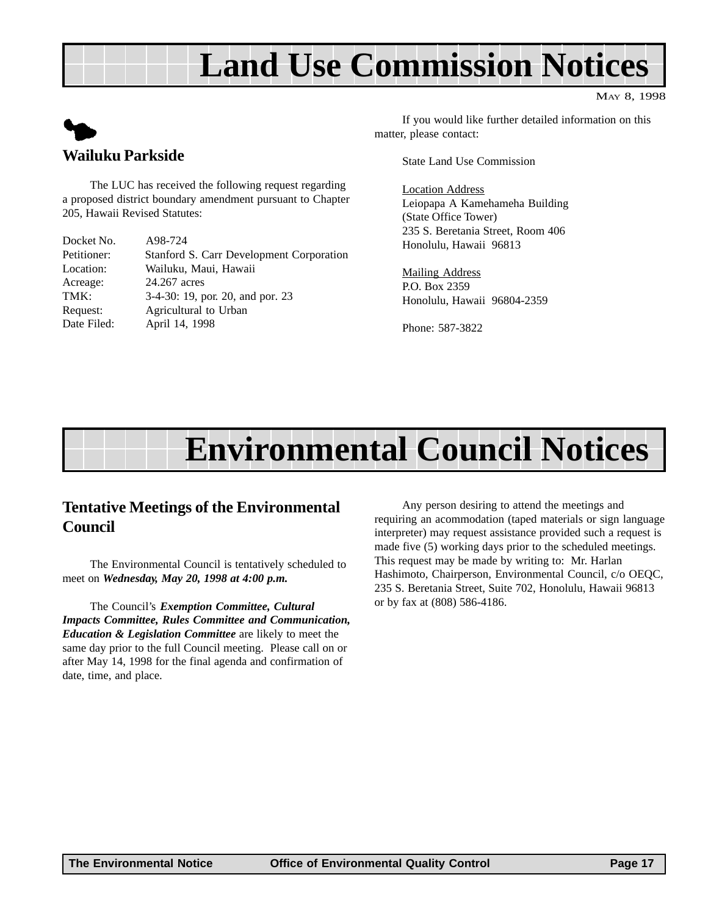## **Land Use Commission Notices**

<span id="page-16-0"></span>

The LUC has received the following request regarding a proposed district boundary amendment pursuant to Chapter 205, Hawaii Revised Statutes:

| Docket No.  | A98-724                                  |
|-------------|------------------------------------------|
| Petitioner: | Stanford S. Carr Development Corporation |
| Location:   | Wailuku, Maui, Hawaii                    |
| Acreage:    | 24.267 acres                             |
| TMK:        | 3-4-30: 19, por. 20, and por. 23         |
| Request:    | Agricultural to Urban                    |
| Date Filed: | April 14, 1998                           |

If you would like further detailed information on this matter, please contact:

MAY 8, 1998

State Land Use Commission

Location Address Leiopapa A Kamehameha Building (State Office Tower) 235 S. Beretania Street, Room 406 Honolulu, Hawaii 96813

Mailing Address P.O. Box 2359 Honolulu, Hawaii 96804-2359

Phone: 587-3822

## **Environmental Council Notices**

### **Tentative Meetings of the Environmental Council**

The Environmental Council is tentatively scheduled to meet on *Wednesday, May 20, 1998 at 4:00 p.m.*

The Council's *Exemption Committee, Cultural Impacts Committee, Rules Committee and Communication, Education & Legislation Committee* are likely to meet the same day prior to the full Council meeting. Please call on or after May 14, 1998 for the final agenda and confirmation of date, time, and place.

Any person desiring to attend the meetings and requiring an acommodation (taped materials or sign language interpreter) may request assistance provided such a request is made five (5) working days prior to the scheduled meetings. This request may be made by writing to: Mr. Harlan Hashimoto, Chairperson, Environmental Council, c/o OEQC, 235 S. Beretania Street, Suite 702, Honolulu, Hawaii 96813 or by fax at (808) 586-4186.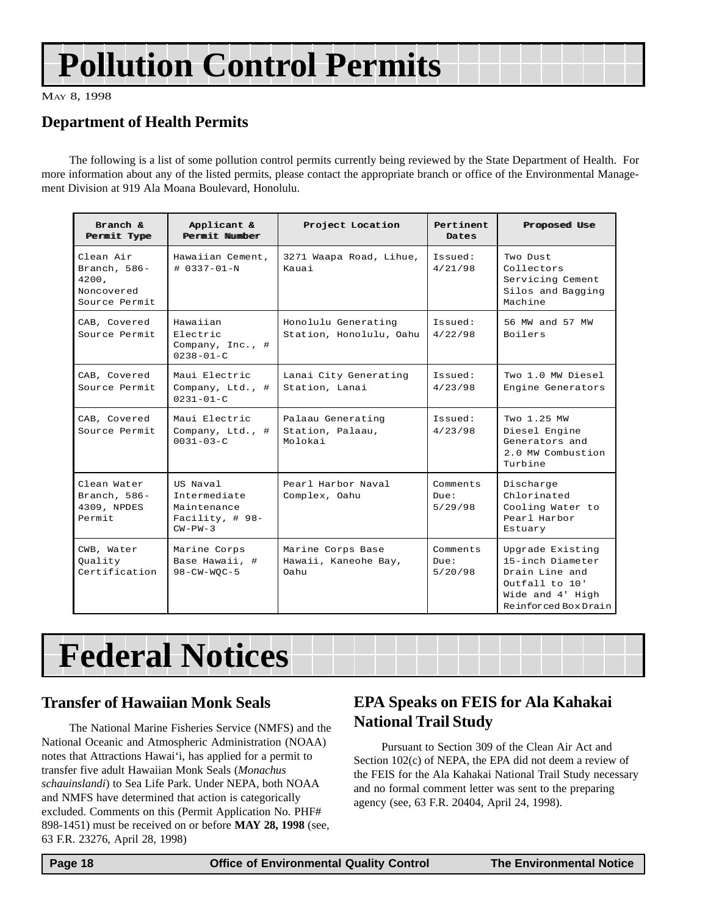## <span id="page-17-0"></span>**Pollution Control Permits**

MAY 8, 1998

### **Department of Health Permits**

The following is a list of some pollution control permits currently being reviewed by the State Department of Health. For more information about any of the listed permits, please contact the appropriate branch or office of the Environmental Management Division at 919 Ala Moana Boulevard, Honolulu.

| Branch &<br>Permit Type                                             | Applicant &<br>Permitt Number                                           | Project Location                                  | Pertinent<br>Dates          | Proposed Use                                                                                                         |
|---------------------------------------------------------------------|-------------------------------------------------------------------------|---------------------------------------------------|-----------------------------|----------------------------------------------------------------------------------------------------------------------|
| Clean Air<br>Branch, $586-$<br>4200,<br>Noncovered<br>Source Permit | Hawaiian Cement,<br>$\#$ 0.337-01-N                                     | 3271 Waapa Road, Lihue,<br>Kauai                  | Issued:<br>4/21/98          | Two Dust<br>Collectors<br>Servicing Cement<br>Silos and Bagging<br>Machine                                           |
| CAB, Covered<br>Source Permit                                       | Hawaiian<br>Electric<br>Company, Inc., #<br>$0238 - 01 - C$             | Honolulu Generating<br>Station, Honolulu, Oahu    | Issued:<br>4/22/98          | 56 MW and 57 MW<br>Boilers                                                                                           |
| CAB, Covered<br>Source Permit                                       | Maui Electric<br>Company, Ltd., #<br>$0231 - 01 - C$                    | Lanai City Generating<br>Station, Lanai           | Issued:<br>4/23/98          | Two 1.0 MW Diesel<br>Engine Generators                                                                               |
| CAB, Covered<br>Source Permit                                       | Maui Electric<br>Company, Ltd., #<br>$0031 - 03 - C$                    | Palaau Generating<br>Station, Palaau,<br>Molokai  | Issued:<br>4/23/98          | Two 1.25 MW<br>Diesel Engine<br>Generators and<br>2.0 MW Combustion<br>Turbine                                       |
| Clean Water<br>Branch, $586-$<br>4309, NPDES<br>Permit              | US Naval<br>Intermediate<br>Maintenance<br>Facility, # 98-<br>$CW-PW-3$ | Pearl Harbor Naval<br>Complex, Oahu               | Comments<br>Due:<br>5/29/98 | Discharge<br>Chlorinated<br>Cooling Water to<br>Pearl Harbor<br>Estuary                                              |
| CWB, Water<br>Ouality<br>Certification                              | Marine Corps<br>Base Hawaii, #<br>$98 - CW - WQC - 5$                   | Marine Corps Base<br>Hawaii, Kaneohe Bay,<br>Oahu | Comments<br>Due:<br>5/20/98 | Upgrade Existing<br>15-inch Diameter<br>Drain Line and<br>Outfall to 10'<br>Wide and 4' High<br>Reinforced Box Drain |

## **Federal Notices**

### **Transfer of Hawaiian Monk Seals**

The National Marine Fisheries Service (NMFS) and the National Oceanic and Atmospheric Administration (NOAA) notes that Attractions Hawai'i, has applied for a permit to transfer five adult Hawaiian Monk Seals (*Monachus schauinslandi*) to Sea Life Park. Under NEPA, both NOAA and NMFS have determined that action is categorically excluded. Comments on this (Permit Application No. PHF# 898-1451) must be received on or before **MAY 28, 1998** (see, 63 F.R. 23276, April 28, 1998)

### **EPA Speaks on FEIS for Ala Kahakai National Trail Study**

Pursuant to Section 309 of the Clean Air Act and Section 102(c) of NEPA, the EPA did not deem a review of the FEIS for the Ala Kahakai National Trail Study necessary and no formal comment letter was sent to the preparing agency (see, 63 F.R. 20404, April 24, 1998).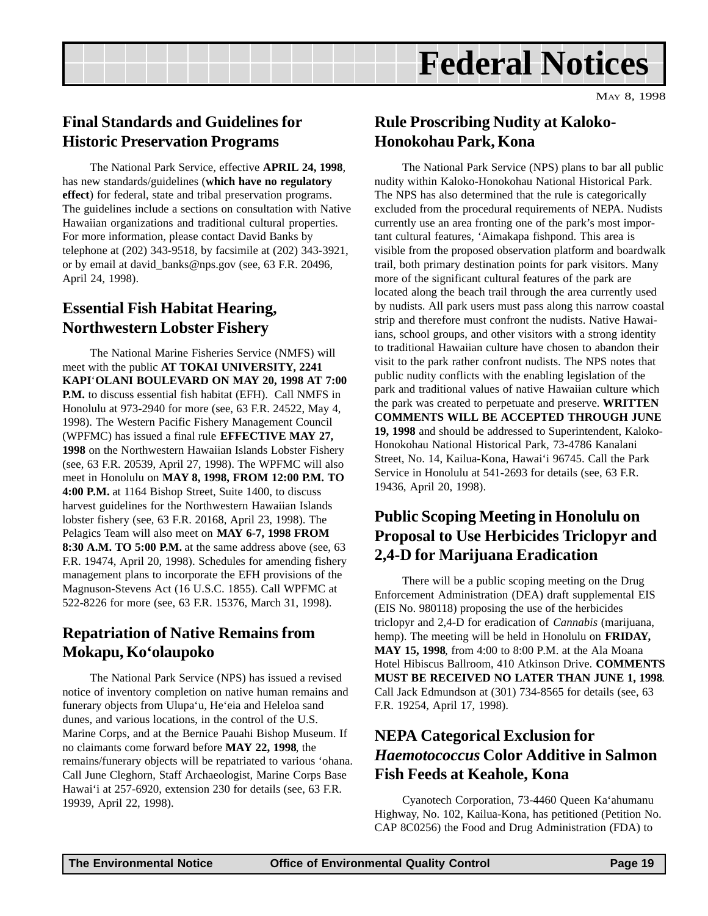## **Federal Notices**

### <span id="page-18-0"></span>**Final Standards and Guidelines for Historic Preservation Programs**

The National Park Service, effective **APRIL 24, 1998**, has new standards/guidelines (**which have no regulatory effect**) for federal, state and tribal preservation programs. The guidelines include a sections on consultation with Native Hawaiian organizations and traditional cultural properties. For more information, please contact David Banks by telephone at (202) 343-9518, by facsimile at (202) 343-3921, or by email at david\_banks@nps.gov (see, 63 F.R. 20496, April 24, 1998).

### **Essential Fish Habitat Hearing, Northwestern Lobster Fishery**

The National Marine Fisheries Service (NMFS) will meet with the public **AT TOKAI UNIVERSITY, 2241 KAPI**'**OLANI BOULEVARD ON MAY 20, 1998 AT 7:00 P.M.** to discuss essential fish habitat (EFH). Call NMFS in Honolulu at 973-2940 for more (see, 63 F.R. 24522, May 4, 1998). The Western Pacific Fishery Management Council (WPFMC) has issued a final rule **EFFECTIVE MAY 27, 1998** on the Northwestern Hawaiian Islands Lobster Fishery (see, 63 F.R. 20539, April 27, 1998). The WPFMC will also meet in Honolulu on **MAY 8, 1998, FROM 12:00 P.M. TO 4:00 P.M.** at 1164 Bishop Street, Suite 1400, to discuss harvest guidelines for the Northwestern Hawaiian Islands lobster fishery (see, 63 F.R. 20168, April 23, 1998). The Pelagics Team will also meet on **MAY 6-7, 1998 FROM 8:30 A.M. TO 5:00 P.M.** at the same address above (see, 63 F.R. 19474, April 20, 1998). Schedules for amending fishery management plans to incorporate the EFH provisions of the Magnuson-Stevens Act (16 U.S.C. 1855). Call WPFMC at 522-8226 for more (see, 63 F.R. 15376, March 31, 1998).

### **Repatriation of Native Remains from Mokapu, Ko'olaupoko**

The National Park Service (NPS) has issued a revised notice of inventory completion on native human remains and funerary objects from Ulupa'u, He'eia and Heleloa sand dunes, and various locations, in the control of the U.S. Marine Corps, and at the Bernice Pauahi Bishop Museum. If no claimants come forward before **MAY 22, 1998**, the remains/funerary objects will be repatriated to various 'ohana. Call June Cleghorn, Staff Archaeologist, Marine Corps Base Hawai'i at 257-6920, extension 230 for details (see, 63 F.R. 19939, April 22, 1998).

### **Rule Proscribing Nudity at Kaloko-Honokohau Park, Kona**

The National Park Service (NPS) plans to bar all public nudity within Kaloko-Honokohau National Historical Park. The NPS has also determined that the rule is categorically excluded from the procedural requirements of NEPA. Nudists currently use an area fronting one of the park's most important cultural features, 'Aimakapa fishpond. This area is visible from the proposed observation platform and boardwalk trail, both primary destination points for park visitors. Many more of the significant cultural features of the park are located along the beach trail through the area currently used by nudists. All park users must pass along this narrow coastal strip and therefore must confront the nudists. Native Hawaiians, school groups, and other visitors with a strong identity to traditional Hawaiian culture have chosen to abandon their visit to the park rather confront nudists. The NPS notes that public nudity conflicts with the enabling legislation of the park and traditional values of native Hawaiian culture which the park was created to perpetuate and preserve. **WRITTEN COMMENTS WILL BE ACCEPTED THROUGH JUNE 19, 1998** and should be addressed to Superintendent, Kaloko-Honokohau National Historical Park, 73-4786 Kanalani Street, No. 14, Kailua-Kona, Hawai'i 96745. Call the Park Service in Honolulu at 541-2693 for details (see, 63 F.R. 19436, April 20, 1998).

### **Public Scoping Meeting in Honolulu on Proposal to Use Herbicides Triclopyr and 2,4-D for Marijuana Eradication**

There will be a public scoping meeting on the Drug Enforcement Administration (DEA) draft supplemental EIS (EIS No. 980118) proposing the use of the herbicides triclopyr and 2,4-D for eradication of *Cannabis* (marijuana, hemp). The meeting will be held in Honolulu on **FRIDAY, MAY 15, 1998**, from 4:00 to 8:00 P.M. at the Ala Moana Hotel Hibiscus Ballroom, 410 Atkinson Drive. **COMMENTS MUST BE RECEIVED NO LATER THAN JUNE 1, 1998**. Call Jack Edmundson at (301) 734-8565 for details (see, 63 F.R. 19254, April 17, 1998).

### **NEPA Categorical Exclusion for** *Haemotococcus* **Color Additive in Salmon Fish Feeds at Keahole, Kona**

Cyanotech Corporation, 73-4460 Queen Ka'ahumanu Highway, No. 102, Kailua-Kona, has petitioned (Petition No. CAP 8C0256) the Food and Drug Administration (FDA) to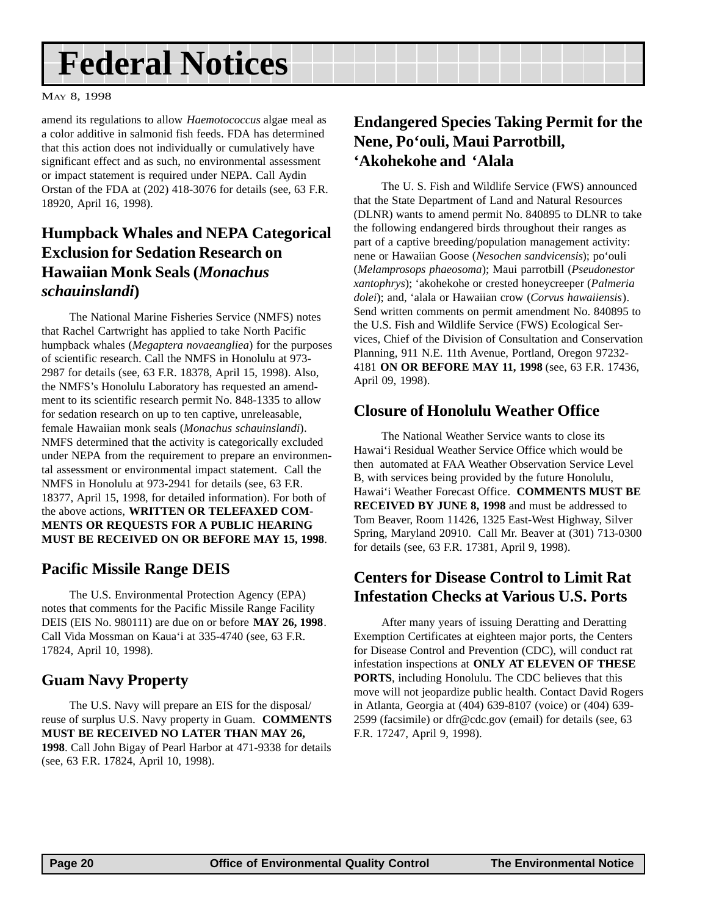## <span id="page-19-0"></span>**Federal Notices**

MAY 8, 1998

amend its regulations to allow *Haemotococcus* algae meal as a color additive in salmonid fish feeds. FDA has determined that this action does not individually or cumulatively have significant effect and as such, no environmental assessment or impact statement is required under NEPA. Call Aydin Orstan of the FDA at (202) 418-3076 for details (see, 63 F.R. 18920, April 16, 1998).

### **Humpback Whales and NEPA Categorical Exclusion for Sedation Research on Hawaiian Monk Seals (***Monachus schauinslandi***)**

The National Marine Fisheries Service (NMFS) notes that Rachel Cartwright has applied to take North Pacific humpback whales (*Megaptera novaeangliea*) for the purposes of scientific research. Call the NMFS in Honolulu at 973- 2987 for details (see, 63 F.R. 18378, April 15, 1998). Also, the NMFS's Honolulu Laboratory has requested an amendment to its scientific research permit No. 848-1335 to allow for sedation research on up to ten captive, unreleasable, female Hawaiian monk seals (*Monachus schauinslandi*). NMFS determined that the activity is categorically excluded under NEPA from the requirement to prepare an environmental assessment or environmental impact statement. Call the NMFS in Honolulu at 973-2941 for details (see, 63 F.R. 18377, April 15, 1998, for detailed information). For both of the above actions, **WRITTEN OR TELEFAXED COM-MENTS OR REQUESTS FOR A PUBLIC HEARING MUST BE RECEIVED ON OR BEFORE MAY 15, 1998**.

### **Pacific Missile Range DEIS**

The U.S. Environmental Protection Agency (EPA) notes that comments for the Pacific Missile Range Facility DEIS (EIS No. 980111) are due on or before **MAY 26, 1998**. Call Vida Mossman on Kaua'i at 335-4740 (see, 63 F.R. 17824, April 10, 1998).

### **Guam Navy Property**

The U.S. Navy will prepare an EIS for the disposal/ reuse of surplus U.S. Navy property in Guam. **COMMENTS MUST BE RECEIVED NO LATER THAN MAY 26, 1998**. Call John Bigay of Pearl Harbor at 471-9338 for details (see, 63 F.R. 17824, April 10, 1998).

### **Endangered Species Taking Permit for the Nene, Po'ouli, Maui Parrotbill, 'Akohekohe and 'Alala**

The U. S. Fish and Wildlife Service (FWS) announced that the State Department of Land and Natural Resources (DLNR) wants to amend permit No. 840895 to DLNR to take the following endangered birds throughout their ranges as part of a captive breeding/population management activity: nene or Hawaiian Goose (*Nesochen sandvicensis*); po'ouli (*Melamprosops phaeosoma*); Maui parrotbill (*Pseudonestor xantophrys*); 'akohekohe or crested honeycreeper (*Palmeria dolei*); and, 'alala or Hawaiian crow (*Corvus hawaiiensis*). Send written comments on permit amendment No. 840895 to the U.S. Fish and Wildlife Service (FWS) Ecological Services, Chief of the Division of Consultation and Conservation Planning, 911 N.E. 11th Avenue, Portland, Oregon 97232- 4181 **ON OR BEFORE MAY 11, 1998** (see, 63 F.R. 17436, April 09, 1998).

### **Closure of Honolulu Weather Office**

The National Weather Service wants to close its Hawai'i Residual Weather Service Office which would be then automated at FAA Weather Observation Service Level B, with services being provided by the future Honolulu, Hawai'i Weather Forecast Office. **COMMENTS MUST BE RECEIVED BY JUNE 8, 1998** and must be addressed to Tom Beaver, Room 11426, 1325 East-West Highway, Silver Spring, Maryland 20910. Call Mr. Beaver at (301) 713-0300 for details (see, 63 F.R. 17381, April 9, 1998).

### **Centers for Disease Control to Limit Rat Infestation Checks at Various U.S. Ports**

After many years of issuing Deratting and Deratting Exemption Certificates at eighteen major ports, the Centers for Disease Control and Prevention (CDC), will conduct rat infestation inspections at **ONLY AT ELEVEN OF THESE PORTS**, including Honolulu. The CDC believes that this move will not jeopardize public health. Contact David Rogers in Atlanta, Georgia at (404) 639-8107 (voice) or (404) 639- 2599 (facsimile) or dfr@cdc.gov (email) for details (see, 63 F.R. 17247, April 9, 1998).